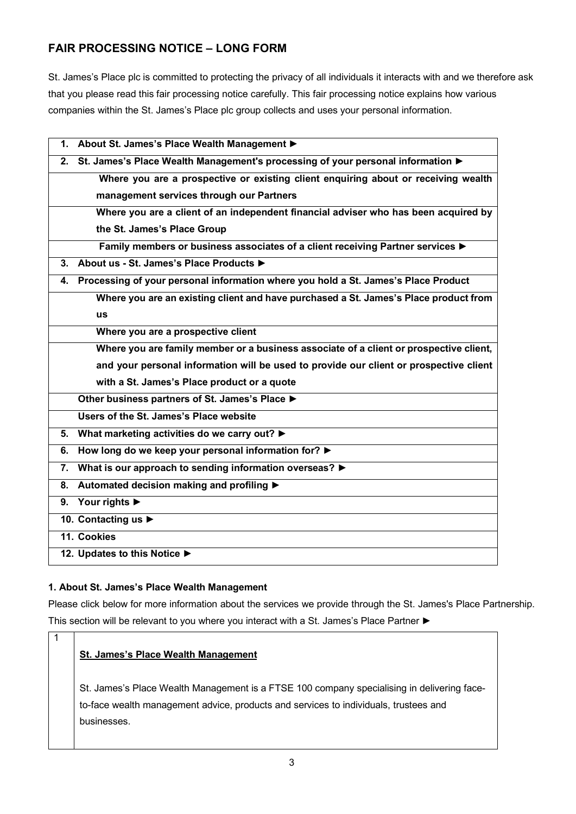# **FAIR PROCESSING NOTICE – LONG FORM**

St. James's Place plc is committed to protecting the privacy of all individuals it interacts with and we therefore ask that you please read this fair processing notice carefully. This fair processing notice explains how various companies within the St. James's Place plc group collects and uses your personal information.

| About St. James's Place Wealth Management ><br>1.                                        |
|------------------------------------------------------------------------------------------|
| St. James's Place Wealth Management's processing of your personal information ▶<br>2.    |
| Where you are a prospective or existing client enquiring about or receiving wealth       |
| management services through our Partners                                                 |
| Where you are a client of an independent financial adviser who has been acquired by      |
| the St. James's Place Group                                                              |
| Family members or business associates of a client receiving Partner services ▶           |
| About us - St. James's Place Products ▶<br>3.                                            |
| Processing of your personal information where you hold a St. James's Place Product<br>4. |
| Where you are an existing client and have purchased a St. James's Place product from     |
| <b>us</b>                                                                                |
| Where you are a prospective client                                                       |
| Where you are family member or a business associate of a client or prospective client,   |
| and your personal information will be used to provide our client or prospective client   |
| with a St. James's Place product or a quote                                              |
| Other business partners of St. James's Place                                             |
| Users of the St. James's Place website                                                   |
| What marketing activities do we carry out? ▶<br>5.                                       |
| How long do we keep your personal information for?<br>6.                                 |
| What is our approach to sending information overseas? ><br>7.                            |
| Automated decision making and profiling ▶<br>8.                                          |
| 9. Your rights $\blacktriangleright$                                                     |
| 10. Contacting us $\blacktriangleright$                                                  |
| 11. Cookies                                                                              |
| 12. Updates to this Notice ▶                                                             |

## **1. About St. James's Place Wealth Management**

1

Please click below for more information about the services we provide through the St. James's Place Partnership. This section will be relevant to you where you interact with a St. James's Place Partner **►**

## **St. James's Place Wealth Management**

St. James's Place Wealth Management is a FTSE 100 company specialising in delivering faceto-face wealth management advice, products and services to individuals, trustees and businesses.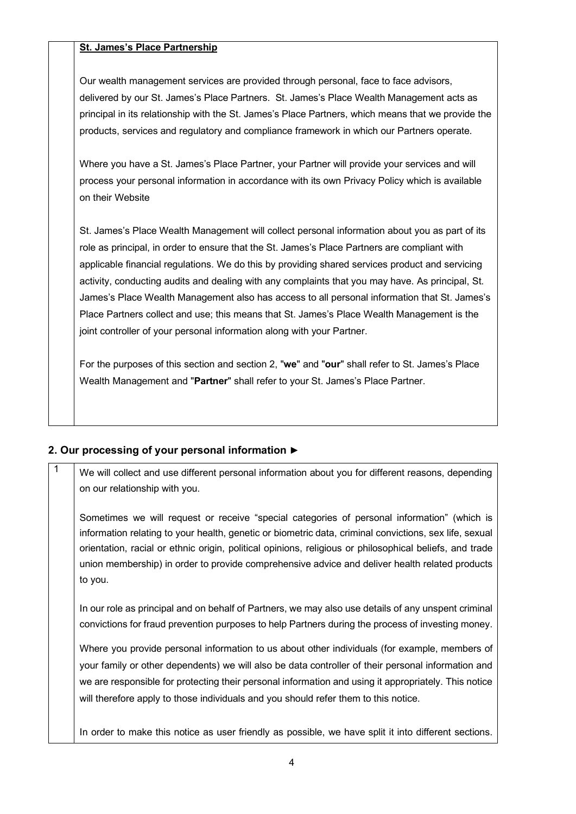#### **St. James's Place Partnership**

Our wealth management services are provided through personal, face to face advisors, delivered by our St. James's Place Partners. St. James's Place Wealth Management acts as principal in its relationship with the St. James's Place Partners, which means that we provide the products, services and regulatory and compliance framework in which our Partners operate.

Where you have a St. James's Place Partner, your Partner will provide your services and will process your personal information in accordance with its own Privacy Policy which is available on their Website

St. James's Place Wealth Management will collect personal information about you as part of its role as principal, in order to ensure that the St. James's Place Partners are compliant with applicable financial regulations. We do this by providing shared services product and servicing activity, conducting audits and dealing with any complaints that you may have. As principal, St. James's Place Wealth Management also has access to all personal information that St. James's Place Partners collect and use; this means that St. James's Place Wealth Management is the joint controller of your personal information along with your Partner.

For the purposes of this section and section 2, "**we**" and "**our**" shall refer to St. James's Place Wealth Management and "**Partner**" shall refer to your St. James's Place Partner.

#### **2. Our processing of your personal information ►**

 $\frac{1}{1}$  We will collect and use different personal information about you for different reasons, depending on our relationship with you.

Sometimes we will request or receive "special categories of personal information" (which is information relating to your health, genetic or biometric data, criminal convictions, sex life, sexual orientation, racial or ethnic origin, political opinions, religious or philosophical beliefs, and trade union membership) in order to provide comprehensive advice and deliver health related products to you.

In our role as principal and on behalf of Partners, we may also use details of any unspent criminal convictions for fraud prevention purposes to help Partners during the process of investing money.

Where you provide personal information to us about other individuals (for example, members of your family or other dependents) we will also be data controller of their personal information and we are responsible for protecting their personal information and using it appropriately. This notice will therefore apply to those individuals and you should refer them to this notice.

In order to make this notice as user friendly as possible, we have split it into different sections.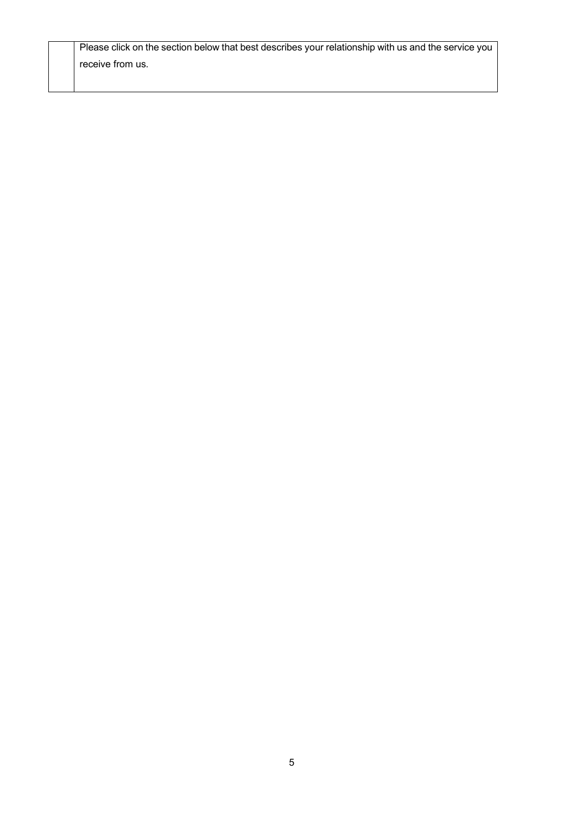| Please click on the section below that best describes your relationship with us and the service you |
|-----------------------------------------------------------------------------------------------------|
| receive from us.                                                                                    |
|                                                                                                     |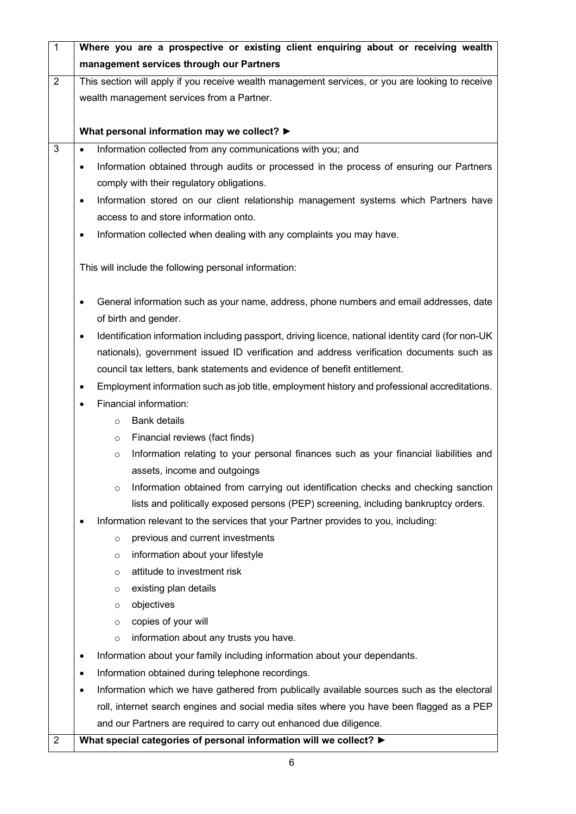| $\overline{1}$                                                                           | Where you are a prospective or existing client enquiring about or receiving wealth                              |  |  |  |  |  |
|------------------------------------------------------------------------------------------|-----------------------------------------------------------------------------------------------------------------|--|--|--|--|--|
|                                                                                          | management services through our Partners                                                                        |  |  |  |  |  |
| $\overline{2}$                                                                           | This section will apply if you receive wealth management services, or you are looking to receive                |  |  |  |  |  |
|                                                                                          | wealth management services from a Partner.                                                                      |  |  |  |  |  |
|                                                                                          |                                                                                                                 |  |  |  |  |  |
|                                                                                          | What personal information may we collect? ▶                                                                     |  |  |  |  |  |
| 3                                                                                        | Information collected from any communications with you; and<br>$\bullet$                                        |  |  |  |  |  |
|                                                                                          | Information obtained through audits or processed in the process of ensuring our Partners<br>$\bullet$           |  |  |  |  |  |
|                                                                                          | comply with their regulatory obligations.                                                                       |  |  |  |  |  |
|                                                                                          | Information stored on our client relationship management systems which Partners have<br>$\bullet$               |  |  |  |  |  |
|                                                                                          | access to and store information onto.                                                                           |  |  |  |  |  |
|                                                                                          | Information collected when dealing with any complaints you may have.<br>$\bullet$                               |  |  |  |  |  |
|                                                                                          |                                                                                                                 |  |  |  |  |  |
|                                                                                          | This will include the following personal information:                                                           |  |  |  |  |  |
|                                                                                          |                                                                                                                 |  |  |  |  |  |
|                                                                                          | General information such as your name, address, phone numbers and email addresses, date<br>٠                    |  |  |  |  |  |
|                                                                                          | of birth and gender.                                                                                            |  |  |  |  |  |
|                                                                                          | Identification information including passport, driving licence, national identity card (for non-UK<br>$\bullet$ |  |  |  |  |  |
| nationals), government issued ID verification and address verification documents such as |                                                                                                                 |  |  |  |  |  |
|                                                                                          | council tax letters, bank statements and evidence of benefit entitlement.                                       |  |  |  |  |  |
|                                                                                          | Employment information such as job title, employment history and professional accreditations.<br>$\bullet$      |  |  |  |  |  |
|                                                                                          | Financial information:<br>$\bullet$                                                                             |  |  |  |  |  |
|                                                                                          | <b>Bank details</b><br>$\circ$                                                                                  |  |  |  |  |  |
|                                                                                          | Financial reviews (fact finds)<br>$\circ$                                                                       |  |  |  |  |  |
|                                                                                          | Information relating to your personal finances such as your financial liabilities and<br>$\circ$                |  |  |  |  |  |
|                                                                                          | assets, income and outgoings                                                                                    |  |  |  |  |  |
|                                                                                          | Information obtained from carrying out identification checks and checking sanction<br>$\circ$                   |  |  |  |  |  |
| lists and politically exposed persons (PEP) screening, including bankruptcy orders.      |                                                                                                                 |  |  |  |  |  |
|                                                                                          | Information relevant to the services that your Partner provides to you, including:<br>$\bullet$                 |  |  |  |  |  |
|                                                                                          | previous and current investments<br>$\circ$                                                                     |  |  |  |  |  |
|                                                                                          | information about your lifestyle<br>$\circ$                                                                     |  |  |  |  |  |
|                                                                                          | attitude to investment risk<br>$\circ$                                                                          |  |  |  |  |  |
|                                                                                          | existing plan details<br>$\circ$                                                                                |  |  |  |  |  |
|                                                                                          | objectives<br>$\circ$                                                                                           |  |  |  |  |  |
|                                                                                          | copies of your will<br>$\circ$                                                                                  |  |  |  |  |  |
| information about any trusts you have.<br>$\circ$                                        |                                                                                                                 |  |  |  |  |  |
|                                                                                          | Information about your family including information about your dependants.<br>٠                                 |  |  |  |  |  |
|                                                                                          | Information obtained during telephone recordings.<br>٠                                                          |  |  |  |  |  |
|                                                                                          | Information which we have gathered from publically available sources such as the electoral<br>٠                 |  |  |  |  |  |
|                                                                                          | roll, internet search engines and social media sites where you have been flagged as a PEP                       |  |  |  |  |  |
|                                                                                          | and our Partners are required to carry out enhanced due diligence.                                              |  |  |  |  |  |
| 2                                                                                        | What special categories of personal information will we collect? ▶                                              |  |  |  |  |  |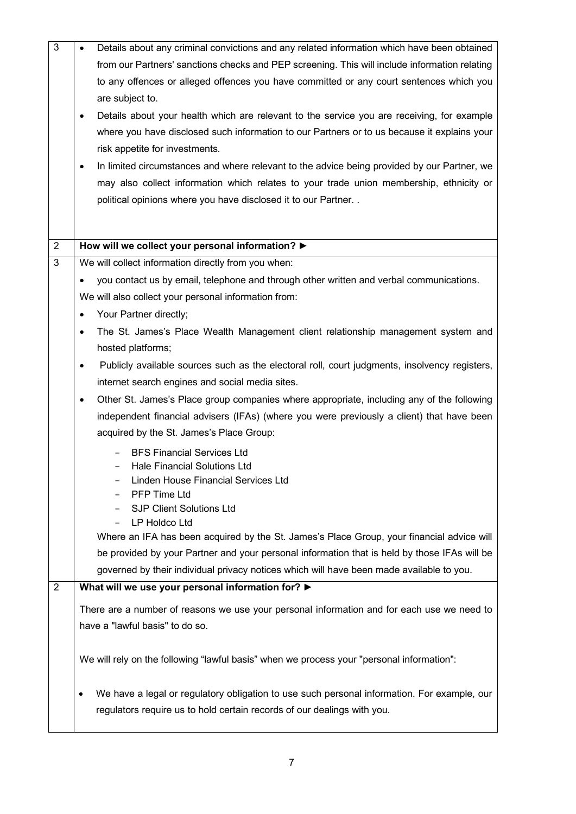| $\overline{3}$ | Details about any criminal convictions and any related information which have been obtained<br>$\bullet$   |
|----------------|------------------------------------------------------------------------------------------------------------|
|                | from our Partners' sanctions checks and PEP screening. This will include information relating              |
|                | to any offences or alleged offences you have committed or any court sentences which you                    |
|                | are subject to.                                                                                            |
|                | Details about your health which are relevant to the service you are receiving, for example<br>٠            |
|                | where you have disclosed such information to our Partners or to us because it explains your                |
|                | risk appetite for investments.                                                                             |
|                | In limited circumstances and where relevant to the advice being provided by our Partner, we<br>$\bullet$   |
|                | may also collect information which relates to your trade union membership, ethnicity or                    |
|                | political opinions where you have disclosed it to our Partner                                              |
|                |                                                                                                            |
|                |                                                                                                            |
| $\overline{2}$ | How will we collect your personal information? >                                                           |
| 3              | We will collect information directly from you when:                                                        |
|                | you contact us by email, telephone and through other written and verbal communications.<br>$\bullet$       |
|                | We will also collect your personal information from:                                                       |
|                | Your Partner directly;<br>$\bullet$                                                                        |
|                | The St. James's Place Wealth Management client relationship management system and<br>$\bullet$             |
|                | hosted platforms;                                                                                          |
|                | Publicly available sources such as the electoral roll, court judgments, insolvency registers,<br>$\bullet$ |
|                | internet search engines and social media sites.                                                            |
|                | Other St. James's Place group companies where appropriate, including any of the following<br>٠             |
|                | independent financial advisers (IFAs) (where you were previously a client) that have been                  |
|                | acquired by the St. James's Place Group:                                                                   |
|                | <b>BFS Financial Services Ltd</b>                                                                          |
|                | Hale Financial Solutions Ltd                                                                               |
|                | Linden House Financial Services Ltd                                                                        |
|                | PFP Time Ltd                                                                                               |
|                | <b>SJP Client Solutions Ltd</b>                                                                            |
|                | LP Holdco Ltd                                                                                              |
|                | Where an IFA has been acquired by the St. James's Place Group, your financial advice will                  |
|                | be provided by your Partner and your personal information that is held by those IFAs will be               |
|                | governed by their individual privacy notices which will have been made available to you.                   |
| 2              | What will we use your personal information for? ▶                                                          |
|                | There are a number of reasons we use your personal information and for each use we need to                 |
|                | have a "lawful basis" to do so.                                                                            |
|                | We will rely on the following "lawful basis" when we process your "personal information":                  |
|                |                                                                                                            |
|                | We have a legal or regulatory obligation to use such personal information. For example, our                |
|                | regulators require us to hold certain records of our dealings with you.                                    |
|                |                                                                                                            |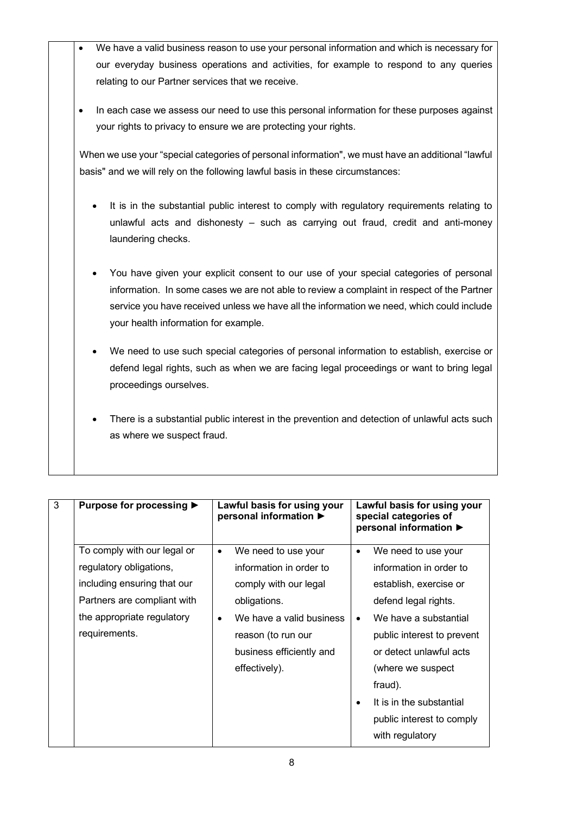- We have a valid business reason to use your personal information and which is necessary for our everyday business operations and activities, for example to respond to any queries relating to our Partner services that we receive.
- In each case we assess our need to use this personal information for these purposes against your rights to privacy to ensure we are protecting your rights.

When we use your "special categories of personal information", we must have an additional "lawful basis" and we will rely on the following lawful basis in these circumstances:

- It is in the substantial public interest to comply with regulatory requirements relating to unlawful acts and dishonesty – such as carrying out fraud, credit and anti-money laundering checks.
- You have given your explicit consent to our use of your special categories of personal information. In some cases we are not able to review a complaint in respect of the Partner service you have received unless we have all the information we need, which could include your health information for example.
- We need to use such special categories of personal information to establish, exercise or defend legal rights, such as when we are facing legal proceedings or want to bring legal proceedings ourselves.
- There is a substantial public interest in the prevention and detection of unlawful acts such as where we suspect fraud.

| 3 | Purpose for processing ▶    |           | Lawful basis for using your<br>personal information ▶ |           | Lawful basis for using your<br>special categories of<br>personal information ▶ |
|---|-----------------------------|-----------|-------------------------------------------------------|-----------|--------------------------------------------------------------------------------|
|   | To comply with our legal or | $\bullet$ | We need to use your                                   | $\bullet$ | We need to use your                                                            |
|   | regulatory obligations,     |           | information in order to                               |           | information in order to                                                        |
|   | including ensuring that our |           | comply with our legal                                 |           | establish, exercise or                                                         |
|   | Partners are compliant with |           | obligations.                                          |           | defend legal rights.                                                           |
|   | the appropriate regulatory  |           | We have a valid business                              |           | We have a substantial                                                          |
|   | requirements.               |           | reason (to run our                                    |           | public interest to prevent                                                     |
|   |                             |           | business efficiently and                              |           | or detect unlawful acts                                                        |
|   |                             |           | effectively).                                         |           | (where we suspect                                                              |
|   |                             |           |                                                       |           | fraud).                                                                        |
|   |                             |           |                                                       |           | It is in the substantial                                                       |
|   |                             |           |                                                       |           | public interest to comply                                                      |
|   |                             |           |                                                       |           | with regulatory                                                                |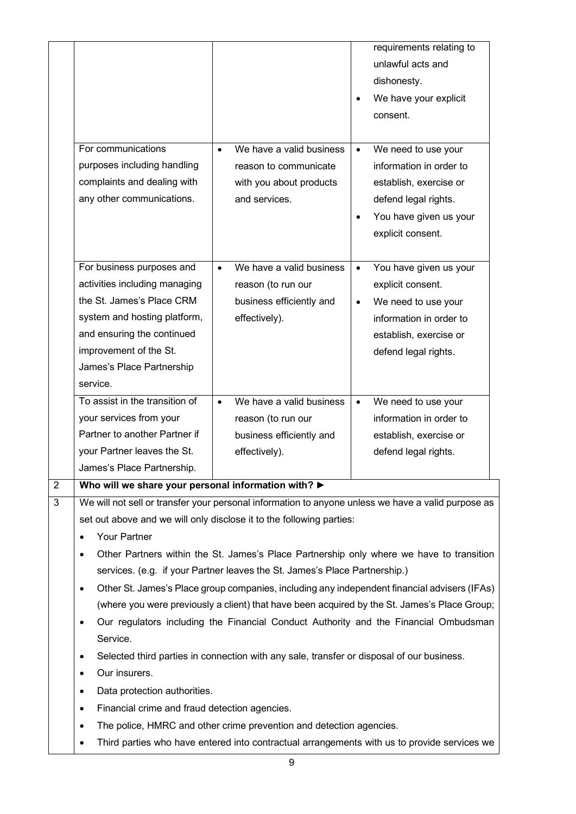|                |                                                                                                                                                                                                                          |                                                                                                                                                    | requirements relating to<br>unlawful acts and<br>dishonesty.<br>We have your explicit<br>consent.                                                                                                                                                                                              |
|----------------|--------------------------------------------------------------------------------------------------------------------------------------------------------------------------------------------------------------------------|----------------------------------------------------------------------------------------------------------------------------------------------------|------------------------------------------------------------------------------------------------------------------------------------------------------------------------------------------------------------------------------------------------------------------------------------------------|
|                | For communications<br>purposes including handling<br>complaints and dealing with<br>any other communications.                                                                                                            | We have a valid business<br>$\bullet$<br>reason to communicate<br>with you about products<br>and services.                                         | We need to use your<br>$\bullet$<br>information in order to<br>establish, exercise or<br>defend legal rights.<br>You have given us your<br>$\bullet$<br>explicit consent.                                                                                                                      |
|                | For business purposes and<br>activities including managing<br>the St. James's Place CRM<br>system and hosting platform,<br>and ensuring the continued<br>improvement of the St.<br>James's Place Partnership<br>service. | We have a valid business<br>$\bullet$<br>reason (to run our<br>business efficiently and<br>effectively).                                           | You have given us your<br>$\bullet$<br>explicit consent.<br>We need to use your<br>$\bullet$<br>information in order to<br>establish, exercise or<br>defend legal rights.                                                                                                                      |
|                | To assist in the transition of<br>your services from your<br>Partner to another Partner if<br>your Partner leaves the St.<br>James's Place Partnership.                                                                  | We have a valid business<br>$\bullet$<br>reason (to run our<br>business efficiently and<br>effectively).                                           | We need to use your<br>$\bullet$<br>information in order to<br>establish, exercise or<br>defend legal rights.                                                                                                                                                                                  |
| $\overline{2}$ | Who will we share your personal information with? >                                                                                                                                                                      |                                                                                                                                                    |                                                                                                                                                                                                                                                                                                |
| $\overline{3}$ | Your Partner<br>$\bullet$<br>$\bullet$<br>$\bullet$                                                                                                                                                                      | set out above and we will only disclose it to the following parties:<br>services. (e.g. if your Partner leaves the St. James's Place Partnership.) | We will not sell or transfer your personal information to anyone unless we have a valid purpose as<br>Other Partners within the St. James's Place Partnership only where we have to transition<br>Other St. James's Place group companies, including any independent financial advisers (IFAs) |
|                | $\bullet$<br>Service.<br>٠                                                                                                                                                                                               | Selected third parties in connection with any sale, transfer or disposal of our business.                                                          | (where you were previously a client) that have been acquired by the St. James's Place Group;<br>Our regulators including the Financial Conduct Authority and the Financial Ombudsman                                                                                                           |
|                | Our insurers.<br>$\bullet$<br>Data protection authorities.<br>٠<br>Financial crime and fraud detection agencies.<br>٠<br>٠                                                                                               | The police, HMRC and other crime prevention and detection agencies.                                                                                |                                                                                                                                                                                                                                                                                                |
|                | ٠                                                                                                                                                                                                                        |                                                                                                                                                    | Third parties who have entered into contractual arrangements with us to provide services we                                                                                                                                                                                                    |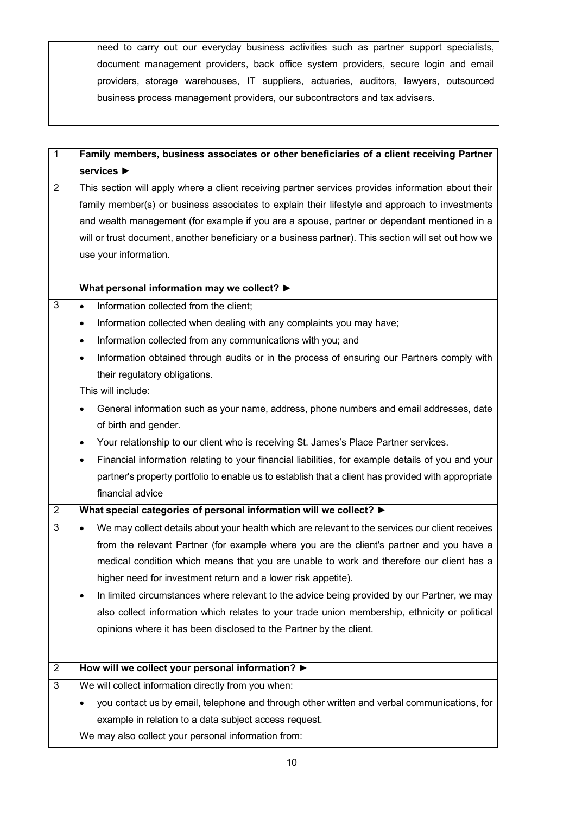need to carry out our everyday business activities such as partner support specialists, document management providers, back office system providers, secure login and email providers, storage warehouses, IT suppliers, actuaries, auditors, lawyers, outsourced business process management providers, our subcontractors and tax advisers.

| $\mathbf{1}$   | Family members, business associates or other beneficiaries of a client receiving Partner                     |
|----------------|--------------------------------------------------------------------------------------------------------------|
|                | services $\blacktriangleright$                                                                               |
| $\overline{2}$ | This section will apply where a client receiving partner services provides information about their           |
|                | family member(s) or business associates to explain their lifestyle and approach to investments               |
|                | and wealth management (for example if you are a spouse, partner or dependant mentioned in a                  |
|                | will or trust document, another beneficiary or a business partner). This section will set out how we         |
|                | use your information.                                                                                        |
|                |                                                                                                              |
|                | What personal information may we collect? ▶                                                                  |
| 3              | Information collected from the client;<br>$\bullet$                                                          |
|                | Information collected when dealing with any complaints you may have;<br>٠                                    |
|                | Information collected from any communications with you; and<br>٠                                             |
|                | Information obtained through audits or in the process of ensuring our Partners comply with<br>٠              |
|                | their regulatory obligations.                                                                                |
|                | This will include:                                                                                           |
|                | General information such as your name, address, phone numbers and email addresses, date<br>$\bullet$         |
|                | of birth and gender.                                                                                         |
|                | Your relationship to our client who is receiving St. James's Place Partner services.<br>$\bullet$            |
|                | Financial information relating to your financial liabilities, for example details of you and your<br>٠       |
|                | partner's property portfolio to enable us to establish that a client has provided with appropriate           |
|                | financial advice                                                                                             |
| $\overline{2}$ | What special categories of personal information will we collect? ▶                                           |
| 3              | We may collect details about your health which are relevant to the services our client receives<br>$\bullet$ |
|                | from the relevant Partner (for example where you are the client's partner and you have a                     |
|                | medical condition which means that you are unable to work and therefore our client has a                     |
|                | higher need for investment return and a lower risk appetite).                                                |
|                | In limited circumstances where relevant to the advice being provided by our Partner, we may<br>٠             |
|                | also collect information which relates to your trade union membership, ethnicity or political                |
|                | opinions where it has been disclosed to the Partner by the client.                                           |
|                |                                                                                                              |
| $\overline{2}$ | How will we collect your personal information? $\blacktriangleright$                                         |
| $\mathbf{3}$   | We will collect information directly from you when:                                                          |
|                | you contact us by email, telephone and through other written and verbal communications, for                  |
|                | example in relation to a data subject access request.                                                        |
|                | We may also collect your personal information from:                                                          |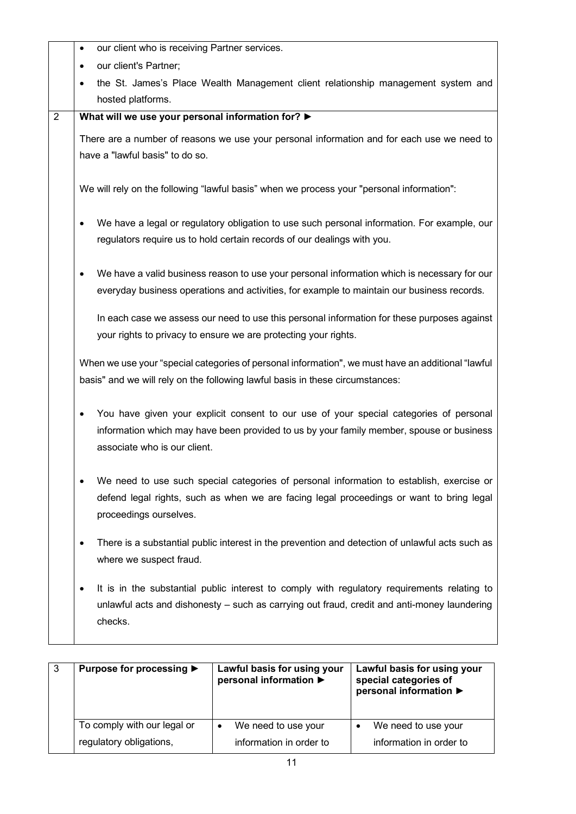|                | our client who is receiving Partner services.<br>$\bullet$                                             |
|----------------|--------------------------------------------------------------------------------------------------------|
|                | our client's Partner;<br>$\bullet$                                                                     |
|                | the St. James's Place Wealth Management client relationship management system and<br>hosted platforms. |
| $\overline{2}$ | What will we use your personal information for? ▶                                                      |
|                |                                                                                                        |
|                | There are a number of reasons we use your personal information and for each use we need to             |
|                | have a "lawful basis" to do so.                                                                        |
|                | We will rely on the following "lawful basis" when we process your "personal information":              |
|                | We have a legal or regulatory obligation to use such personal information. For example, our            |
|                | regulators require us to hold certain records of our dealings with you.                                |
|                |                                                                                                        |
|                | We have a valid business reason to use your personal information which is necessary for our            |
|                | everyday business operations and activities, for example to maintain our business records.             |
|                |                                                                                                        |
|                | In each case we assess our need to use this personal information for these purposes against            |
|                | your rights to privacy to ensure we are protecting your rights.                                        |
|                |                                                                                                        |
|                | When we use your "special categories of personal information", we must have an additional "lawful      |
|                | basis" and we will rely on the following lawful basis in these circumstances:                          |
|                |                                                                                                        |
|                | You have given your explicit consent to our use of your special categories of personal                 |
|                | information which may have been provided to us by your family member, spouse or business               |
|                | associate who is our client.                                                                           |
|                |                                                                                                        |
|                | We need to use such special categories of personal information to establish, exercise or               |
|                | defend legal rights, such as when we are facing legal proceedings or want to bring legal               |
|                | proceedings ourselves.                                                                                 |
|                | There is a substantial public interest in the prevention and detection of unlawful acts such as        |
|                | where we suspect fraud.                                                                                |
|                |                                                                                                        |
|                | It is in the substantial public interest to comply with regulatory requirements relating to            |
|                | unlawful acts and dishonesty - such as carrying out fraud, credit and anti-money laundering            |
|                | checks.                                                                                                |
|                |                                                                                                        |

| -3 | Purpose for processing ▶    | Lawful basis for using your<br>personal information ▶ | Lawful basis for using your<br>special categories of<br>personal information ▶ |
|----|-----------------------------|-------------------------------------------------------|--------------------------------------------------------------------------------|
|    | To comply with our legal or | We need to use your<br>$\bullet$                      | We need to use your                                                            |
|    | regulatory obligations,     | information in order to                               | information in order to                                                        |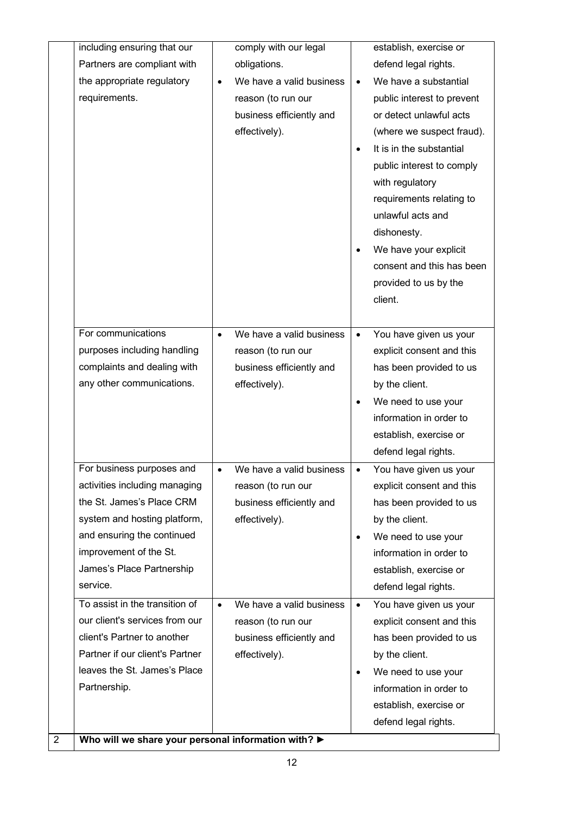|   | including ensuring that our                                   |           | comply with our legal                     |           | establish, exercise or                    |
|---|---------------------------------------------------------------|-----------|-------------------------------------------|-----------|-------------------------------------------|
|   | Partners are compliant with                                   |           | obligations.                              |           | defend legal rights.                      |
|   | the appropriate regulatory                                    | $\bullet$ | We have a valid business                  | $\bullet$ | We have a substantial                     |
|   | requirements.                                                 |           | reason (to run our                        |           | public interest to prevent                |
|   |                                                               |           | business efficiently and                  |           | or detect unlawful acts                   |
|   |                                                               |           | effectively).                             |           | (where we suspect fraud).                 |
|   |                                                               |           |                                           | $\bullet$ | It is in the substantial                  |
|   |                                                               |           |                                           |           | public interest to comply                 |
|   |                                                               |           |                                           |           | with regulatory                           |
|   |                                                               |           |                                           |           | requirements relating to                  |
|   |                                                               |           |                                           |           | unlawful acts and                         |
|   |                                                               |           |                                           |           | dishonesty.                               |
|   |                                                               |           |                                           | $\bullet$ | We have your explicit                     |
|   |                                                               |           |                                           |           | consent and this has been                 |
|   |                                                               |           |                                           |           | provided to us by the                     |
|   |                                                               |           |                                           |           | client.                                   |
|   |                                                               |           |                                           |           |                                           |
|   | For communications                                            | $\bullet$ | We have a valid business                  | $\bullet$ | You have given us your                    |
|   | purposes including handling                                   |           | reason (to run our                        |           | explicit consent and this                 |
|   | complaints and dealing with                                   |           | business efficiently and                  |           | has been provided to us                   |
|   | any other communications.                                     |           | effectively).                             |           | by the client.                            |
|   |                                                               |           |                                           | $\bullet$ | We need to use your                       |
|   |                                                               |           |                                           |           | information in order to                   |
|   |                                                               |           |                                           |           | establish, exercise or                    |
|   |                                                               |           |                                           |           | defend legal rights.                      |
|   | For business purposes and                                     | $\bullet$ | We have a valid business                  | $\bullet$ | You have given us your                    |
|   | activities including managing                                 |           | reason (to run our                        |           | explicit consent and this                 |
|   | the St. James's Place CRM                                     |           | business efficiently and                  |           | has been provided to us                   |
|   | system and hosting platform,                                  |           | effectively).                             |           | by the client.                            |
|   | and ensuring the continued                                    |           |                                           | $\bullet$ | We need to use your                       |
|   | improvement of the St.                                        |           |                                           |           | information in order to                   |
|   | James's Place Partnership<br>service.                         |           |                                           |           | establish, exercise or                    |
|   |                                                               |           |                                           |           | defend legal rights.                      |
|   | To assist in the transition of                                | $\bullet$ | We have a valid business                  | $\bullet$ | You have given us your                    |
|   | our client's services from our<br>client's Partner to another |           | reason (to run our                        |           | explicit consent and this                 |
|   | Partner if our client's Partner                               |           | business efficiently and<br>effectively). |           | has been provided to us<br>by the client. |
|   | leaves the St. James's Place                                  |           |                                           |           |                                           |
|   | Partnership.                                                  |           |                                           | $\bullet$ | We need to use your                       |
|   |                                                               |           |                                           |           | information in order to                   |
|   |                                                               |           |                                           |           | establish, exercise or                    |
| 2 | Who will we share your personal information with? ▶           |           |                                           |           | defend legal rights.                      |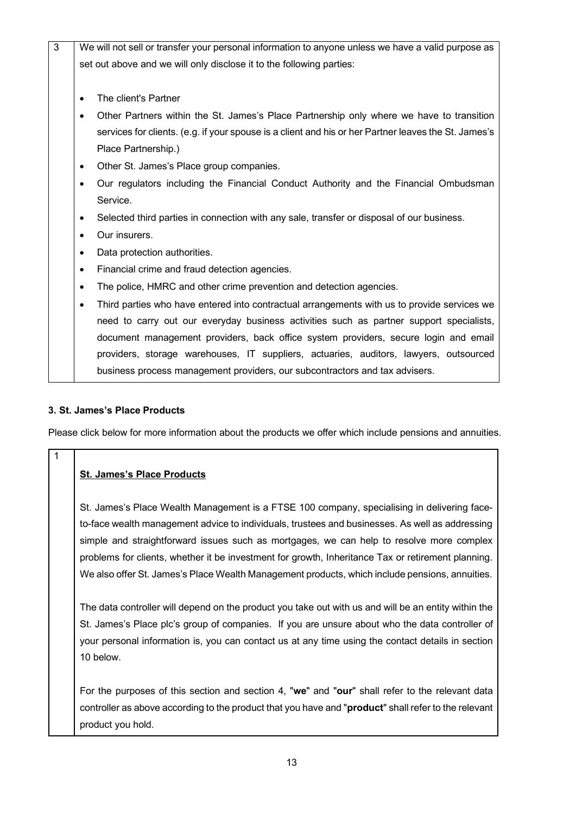| $\overline{3}$ | We will not sell or transfer your personal information to anyone unless we have a valid purpose as       |
|----------------|----------------------------------------------------------------------------------------------------------|
|                | set out above and we will only disclose it to the following parties:                                     |
|                |                                                                                                          |
|                | The client's Partner<br>$\bullet$                                                                        |
|                | Other Partners within the St. James's Place Partnership only where we have to transition<br>٠            |
|                | services for clients. (e.g. if your spouse is a client and his or her Partner leaves the St. James's     |
|                | Place Partnership.)                                                                                      |
|                | Other St. James's Place group companies.<br>$\bullet$                                                    |
|                | Our regulators including the Financial Conduct Authority and the Financial Ombudsman<br>$\bullet$        |
|                | Service.                                                                                                 |
|                | Selected third parties in connection with any sale, transfer or disposal of our business.<br>$\bullet$   |
|                | Our insurers.<br>$\bullet$                                                                               |
|                | Data protection authorities.<br>$\bullet$                                                                |
|                | Financial crime and fraud detection agencies.<br>$\bullet$                                               |
|                | The police, HMRC and other crime prevention and detection agencies.<br>$\bullet$                         |
|                | Third parties who have entered into contractual arrangements with us to provide services we<br>$\bullet$ |
|                | need to carry out our everyday business activities such as partner support specialists,                  |
|                | document management providers, back office system providers, secure login and email                      |
|                | providers, storage warehouses, IT suppliers, actuaries, auditors, lawyers, outsourced                    |
|                | business process management providers, our subcontractors and tax advisers.                              |

#### **3. St. James's Place Products**

1

Please click below for more information about the products we offer which include pensions and annuities.

#### **St. James's Place Products**

St. James's Place Wealth Management is a FTSE 100 company, specialising in delivering faceto-face wealth management advice to individuals, trustees and businesses. As well as addressing simple and straightforward issues such as mortgages, we can help to resolve more complex problems for clients, whether it be investment for growth, Inheritance Tax or retirement planning. We also offer St. James's Place Wealth Management products, which include pensions, annuities.

The data controller will depend on the product you take out with us and will be an entity within the St. James's Place plc's group of companies. If you are unsure about who the data controller of your personal information is, you can contact us at any time using the contact details in section 10 below.

For the purposes of this section and section 4, "**we**" and "**our**" shall refer to the relevant data controller as above according to the product that you have and "**product**" shall refer to the relevant product you hold.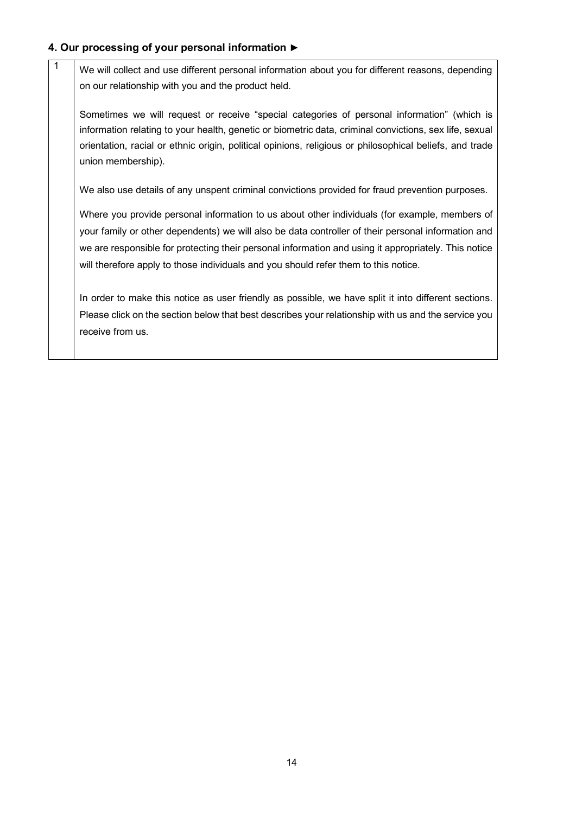### **4. Our processing of your personal information ►**

 $\frac{1}{1}$  We will collect and use different personal information about you for different reasons, depending on our relationship with you and the product held.

Sometimes we will request or receive "special categories of personal information" (which is information relating to your health, genetic or biometric data, criminal convictions, sex life, sexual orientation, racial or ethnic origin, political opinions, religious or philosophical beliefs, and trade union membership).

We also use details of any unspent criminal convictions provided for fraud prevention purposes.

Where you provide personal information to us about other individuals (for example, members of your family or other dependents) we will also be data controller of their personal information and we are responsible for protecting their personal information and using it appropriately. This notice will therefore apply to those individuals and you should refer them to this notice.

In order to make this notice as user friendly as possible, we have split it into different sections. Please click on the section below that best describes your relationship with us and the service you receive from us.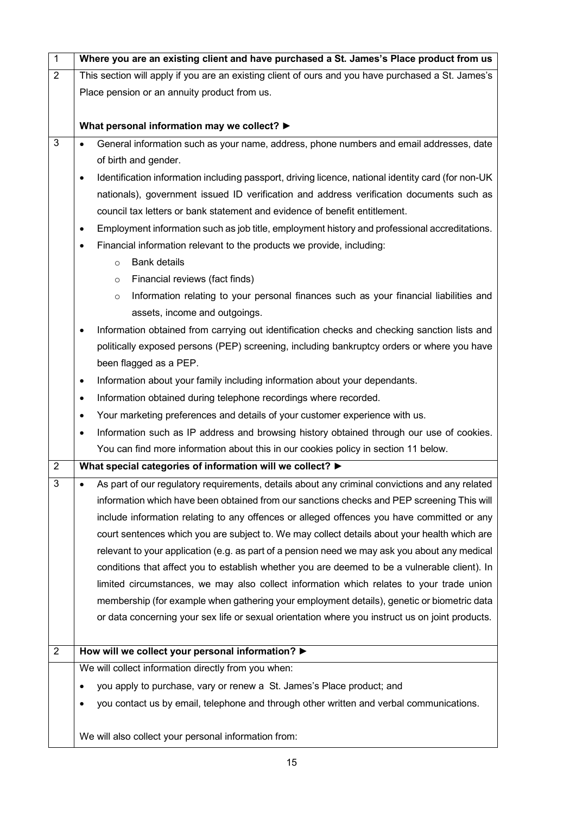| $\mathbf{1}$   | Where you are an existing client and have purchased a St. James's Place product from us                         |  |  |  |  |  |
|----------------|-----------------------------------------------------------------------------------------------------------------|--|--|--|--|--|
| $\overline{2}$ | This section will apply if you are an existing client of ours and you have purchased a St. James's              |  |  |  |  |  |
|                | Place pension or an annuity product from us.                                                                    |  |  |  |  |  |
|                |                                                                                                                 |  |  |  |  |  |
|                | What personal information may we collect? ▶                                                                     |  |  |  |  |  |
| $\mathfrak{S}$ | General information such as your name, address, phone numbers and email addresses, date<br>$\bullet$            |  |  |  |  |  |
|                | of birth and gender.                                                                                            |  |  |  |  |  |
|                | Identification information including passport, driving licence, national identity card (for non-UK<br>$\bullet$ |  |  |  |  |  |
|                | nationals), government issued ID verification and address verification documents such as                        |  |  |  |  |  |
|                | council tax letters or bank statement and evidence of benefit entitlement.                                      |  |  |  |  |  |
|                | Employment information such as job title, employment history and professional accreditations.                   |  |  |  |  |  |
|                | Financial information relevant to the products we provide, including:                                           |  |  |  |  |  |
|                | <b>Bank details</b><br>$\circ$                                                                                  |  |  |  |  |  |
|                | Financial reviews (fact finds)<br>$\circ$                                                                       |  |  |  |  |  |
|                | Information relating to your personal finances such as your financial liabilities and<br>$\circ$                |  |  |  |  |  |
|                | assets, income and outgoings.                                                                                   |  |  |  |  |  |
|                | Information obtained from carrying out identification checks and checking sanction lists and                    |  |  |  |  |  |
|                | politically exposed persons (PEP) screening, including bankruptcy orders or where you have                      |  |  |  |  |  |
|                | been flagged as a PEP.                                                                                          |  |  |  |  |  |
|                | Information about your family including information about your dependants.<br>$\bullet$                         |  |  |  |  |  |
|                | Information obtained during telephone recordings where recorded.<br>$\bullet$                                   |  |  |  |  |  |
|                | Your marketing preferences and details of your customer experience with us.<br>٠                                |  |  |  |  |  |
|                | Information such as IP address and browsing history obtained through our use of cookies.<br>$\bullet$           |  |  |  |  |  |
|                | You can find more information about this in our cookies policy in section 11 below.                             |  |  |  |  |  |
| $\overline{2}$ | What special categories of information will we collect? ▶                                                       |  |  |  |  |  |
| 3              | As part of our regulatory requirements, details about any criminal convictions and any related                  |  |  |  |  |  |
|                | information which have been obtained from our sanctions checks and PEP screening This will                      |  |  |  |  |  |
|                | include information relating to any offences or alleged offences you have committed or any                      |  |  |  |  |  |
|                | court sentences which you are subject to. We may collect details about your health which are                    |  |  |  |  |  |
|                | relevant to your application (e.g. as part of a pension need we may ask you about any medical                   |  |  |  |  |  |
|                | conditions that affect you to establish whether you are deemed to be a vulnerable client). In                   |  |  |  |  |  |
|                | limited circumstances, we may also collect information which relates to your trade union                        |  |  |  |  |  |
|                | membership (for example when gathering your employment details), genetic or biometric data                      |  |  |  |  |  |
|                | or data concerning your sex life or sexual orientation where you instruct us on joint products.                 |  |  |  |  |  |
|                |                                                                                                                 |  |  |  |  |  |
| $\overline{2}$ | How will we collect your personal information? >                                                                |  |  |  |  |  |
|                | We will collect information directly from you when:                                                             |  |  |  |  |  |
|                | you apply to purchase, vary or renew a St. James's Place product; and                                           |  |  |  |  |  |
|                | you contact us by email, telephone and through other written and verbal communications.                         |  |  |  |  |  |
|                |                                                                                                                 |  |  |  |  |  |
|                | We will also collect your personal information from:                                                            |  |  |  |  |  |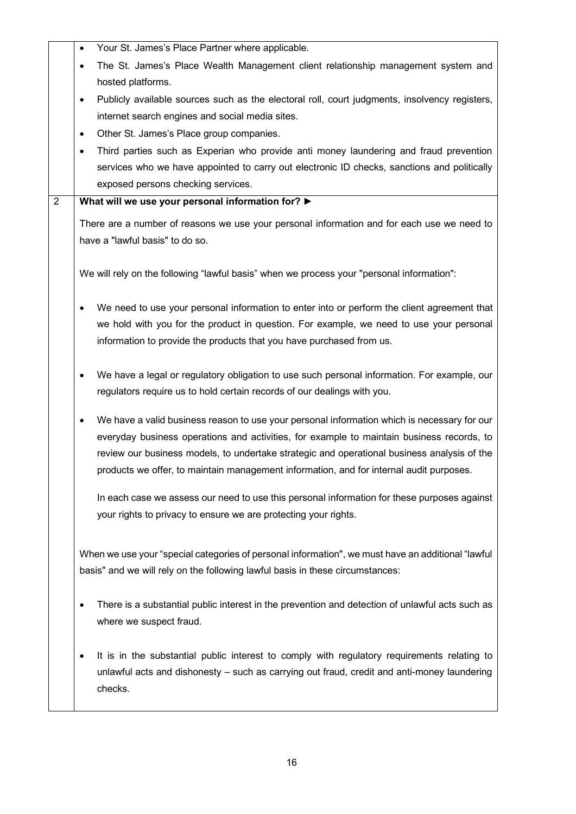|                | Your St. James's Place Partner where applicable.<br>$\bullet$                                            |
|----------------|----------------------------------------------------------------------------------------------------------|
|                | The St. James's Place Wealth Management client relationship management system and<br>٠                   |
|                | hosted platforms.                                                                                        |
|                | Publicly available sources such as the electoral roll, court judgments, insolvency registers,<br>٠       |
|                | internet search engines and social media sites.                                                          |
|                | Other St. James's Place group companies.<br>٠                                                            |
|                | Third parties such as Experian who provide anti money laundering and fraud prevention<br>٠               |
|                | services who we have appointed to carry out electronic ID checks, sanctions and politically              |
|                | exposed persons checking services.                                                                       |
| $\overline{2}$ | What will we use your personal information for? >                                                        |
|                | There are a number of reasons we use your personal information and for each use we need to               |
|                | have a "lawful basis" to do so.                                                                          |
|                |                                                                                                          |
|                | We will rely on the following "lawful basis" when we process your "personal information":                |
|                | We need to use your personal information to enter into or perform the client agreement that              |
|                | we hold with you for the product in question. For example, we need to use your personal                  |
|                | information to provide the products that you have purchased from us.                                     |
|                |                                                                                                          |
|                | We have a legal or regulatory obligation to use such personal information. For example, our<br>$\bullet$ |
|                | regulators require us to hold certain records of our dealings with you.                                  |
|                |                                                                                                          |
|                | We have a valid business reason to use your personal information which is necessary for our<br>٠         |
|                | everyday business operations and activities, for example to maintain business records, to                |
|                | review our business models, to undertake strategic and operational business analysis of the              |
|                | products we offer, to maintain management information, and for internal audit purposes.                  |
|                | In each case we assess our need to use this personal information for these purposes against              |
|                | your rights to privacy to ensure we are protecting your rights.                                          |
|                |                                                                                                          |
|                | When we use your "special categories of personal information", we must have an additional "lawful        |
|                | basis" and we will rely on the following lawful basis in these circumstances:                            |
|                |                                                                                                          |
|                | There is a substantial public interest in the prevention and detection of unlawful acts such as          |
|                | where we suspect fraud.                                                                                  |
|                |                                                                                                          |
|                | It is in the substantial public interest to comply with regulatory requirements relating to              |
|                | unlawful acts and dishonesty - such as carrying out fraud, credit and anti-money laundering              |
|                | checks.                                                                                                  |
|                |                                                                                                          |
|                |                                                                                                          |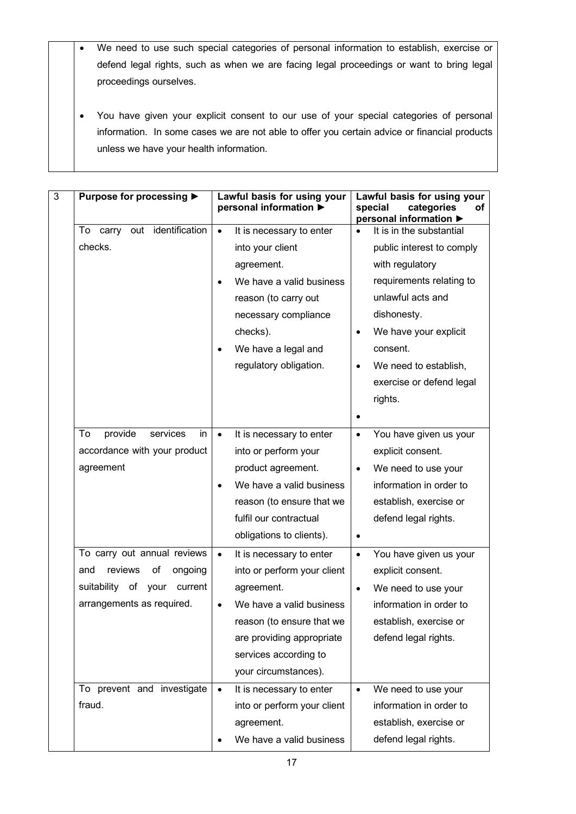- We need to use such special categories of personal information to establish, exercise or defend legal rights, such as when we are facing legal proceedings or want to bring legal proceedings ourselves.
- You have given your explicit consent to our use of your special categories of personal information. In some cases we are not able to offer you certain advice or financial products unless we have your health information.

| 3 | Purpose for processing ▶        |           | Lawful basis for using your<br>personal information ▶ |           | Lawful basis for using your<br>categories<br>special<br>οf<br>personal information ▶ |
|---|---------------------------------|-----------|-------------------------------------------------------|-----------|--------------------------------------------------------------------------------------|
|   | To carry out identification     | $\bullet$ | It is necessary to enter                              |           | It is in the substantial                                                             |
|   | checks.                         |           | into your client                                      |           | public interest to comply                                                            |
|   |                                 |           | agreement.                                            |           | with regulatory                                                                      |
|   |                                 |           | We have a valid business                              |           | requirements relating to                                                             |
|   |                                 |           | reason (to carry out                                  |           | unlawful acts and                                                                    |
|   |                                 |           | necessary compliance                                  |           | dishonesty.                                                                          |
|   |                                 |           | checks).                                              |           | We have your explicit                                                                |
|   |                                 |           | We have a legal and                                   |           | consent.                                                                             |
|   |                                 |           | regulatory obligation.                                |           | We need to establish,                                                                |
|   |                                 |           |                                                       |           | exercise or defend legal                                                             |
|   |                                 |           |                                                       |           | rights.                                                                              |
|   |                                 |           |                                                       | $\bullet$ |                                                                                      |
|   | provide<br>services<br>To<br>in | $\bullet$ | It is necessary to enter                              | $\bullet$ | You have given us your                                                               |
|   | accordance with your product    |           | into or perform your                                  |           | explicit consent.                                                                    |
|   | agreement                       |           | product agreement.                                    | $\bullet$ | We need to use your                                                                  |
|   |                                 |           | We have a valid business                              |           | information in order to                                                              |
|   |                                 |           | reason (to ensure that we                             |           | establish, exercise or                                                               |
|   |                                 |           | fulfil our contractual                                |           | defend legal rights.                                                                 |
|   |                                 |           | obligations to clients).                              |           |                                                                                      |
|   | To carry out annual reviews     | $\bullet$ | It is necessary to enter                              | $\bullet$ | You have given us your                                                               |
|   | reviews<br>and<br>οf<br>ongoing |           | into or perform your client                           |           | explicit consent.                                                                    |
|   | suitability of your<br>current  |           | agreement.                                            | $\bullet$ | We need to use your                                                                  |
|   | arrangements as required.       |           | We have a valid business                              |           | information in order to                                                              |
|   |                                 |           | reason (to ensure that we                             |           | establish, exercise or                                                               |
|   |                                 |           | are providing appropriate                             |           | defend legal rights.                                                                 |
|   |                                 |           | services according to                                 |           |                                                                                      |
|   |                                 |           | your circumstances).                                  |           |                                                                                      |
|   | To prevent and investigate      | $\bullet$ | It is necessary to enter                              | $\bullet$ | We need to use your                                                                  |
|   | fraud.                          |           | into or perform your client                           |           | information in order to                                                              |
|   |                                 |           | agreement.                                            |           | establish, exercise or                                                               |
|   |                                 |           | We have a valid business                              |           | defend legal rights.                                                                 |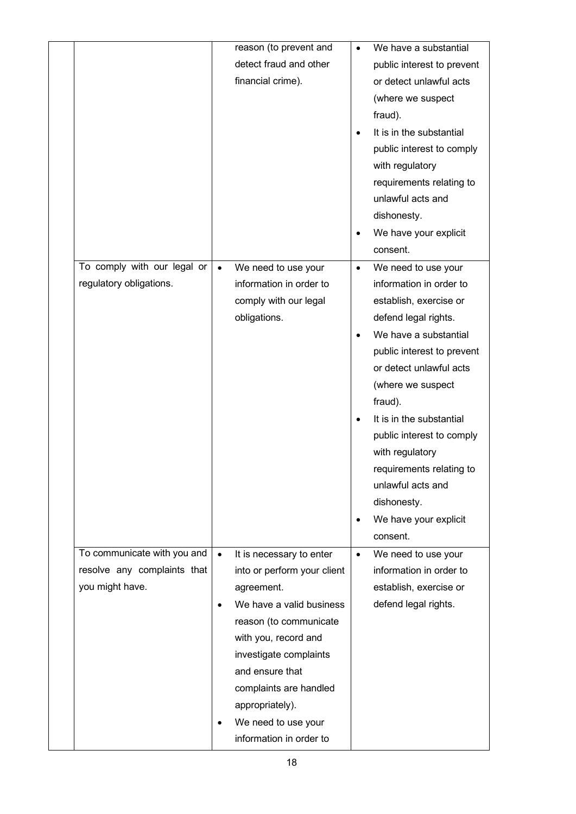|                             |           | reason (to prevent and      | $\bullet$ | We have a substantial      |
|-----------------------------|-----------|-----------------------------|-----------|----------------------------|
|                             |           | detect fraud and other      |           | public interest to prevent |
|                             |           | financial crime).           |           | or detect unlawful acts    |
|                             |           |                             |           | (where we suspect          |
|                             |           |                             |           | fraud).                    |
|                             |           |                             |           | It is in the substantial   |
|                             |           |                             |           | public interest to comply  |
|                             |           |                             |           | with regulatory            |
|                             |           |                             |           | requirements relating to   |
|                             |           |                             |           | unlawful acts and          |
|                             |           |                             |           | dishonesty.                |
|                             |           |                             | ٠         | We have your explicit      |
|                             |           |                             |           | consent.                   |
| To comply with our legal or | $\bullet$ | We need to use your         | $\bullet$ | We need to use your        |
| regulatory obligations.     |           | information in order to     |           | information in order to    |
|                             |           | comply with our legal       |           | establish, exercise or     |
|                             |           | obligations.                |           | defend legal rights.       |
|                             |           |                             |           | We have a substantial      |
|                             |           |                             |           | public interest to prevent |
|                             |           |                             |           | or detect unlawful acts    |
|                             |           |                             |           | (where we suspect          |
|                             |           |                             |           | fraud).                    |
|                             |           |                             |           | It is in the substantial   |
|                             |           |                             |           | public interest to comply  |
|                             |           |                             |           | with regulatory            |
|                             |           |                             |           | requirements relating to   |
|                             |           |                             |           | unlawful acts and          |
|                             |           |                             |           | dishonesty.                |
|                             |           |                             | $\bullet$ | We have your explicit      |
|                             |           |                             |           | consent.                   |
| To communicate with you and | $\bullet$ | It is necessary to enter    | $\bullet$ | We need to use your        |
| resolve any complaints that |           | into or perform your client |           | information in order to    |
| you might have.             |           | agreement.                  |           | establish, exercise or     |
|                             | $\bullet$ | We have a valid business    |           | defend legal rights.       |
|                             |           | reason (to communicate      |           |                            |
|                             |           | with you, record and        |           |                            |
|                             |           | investigate complaints      |           |                            |
|                             |           | and ensure that             |           |                            |
|                             |           | complaints are handled      |           |                            |
|                             |           | appropriately).             |           |                            |
|                             |           | We need to use your         |           |                            |
|                             |           | information in order to     |           |                            |
|                             |           |                             |           |                            |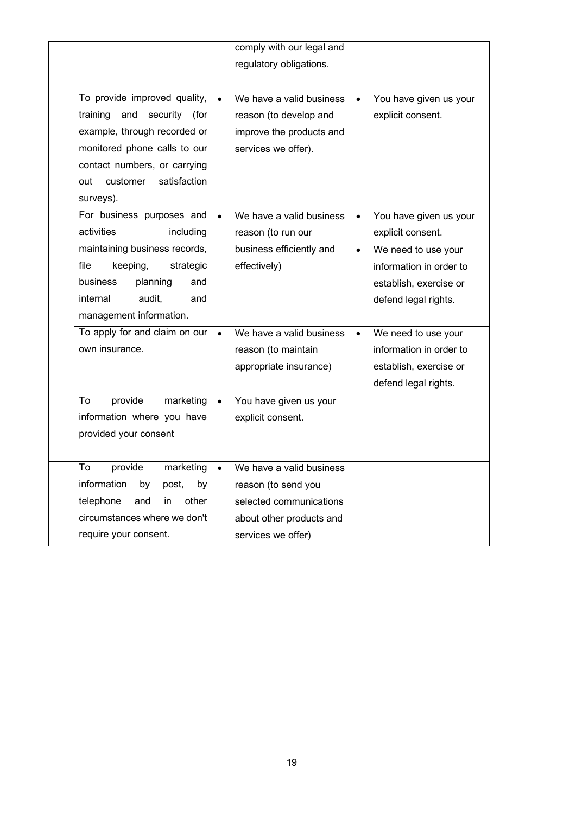|                                     |           | comply with our legal and |           |                         |
|-------------------------------------|-----------|---------------------------|-----------|-------------------------|
|                                     |           | regulatory obligations.   |           |                         |
|                                     |           |                           |           |                         |
| To provide improved quality,        |           | We have a valid business  | $\bullet$ | You have given us your  |
| training<br>and<br>security<br>(for |           | reason (to develop and    |           | explicit consent.       |
| example, through recorded or        |           | improve the products and  |           |                         |
| monitored phone calls to our        |           | services we offer).       |           |                         |
| contact numbers, or carrying        |           |                           |           |                         |
| satisfaction<br>customer<br>out     |           |                           |           |                         |
| surveys).                           |           |                           |           |                         |
| For business purposes and           |           | We have a valid business  | $\bullet$ | You have given us your  |
| activities<br>including             |           | reason (to run our        |           | explicit consent.       |
| maintaining business records,       |           | business efficiently and  | $\bullet$ | We need to use your     |
| file<br>keeping,<br>strategic       |           | effectively)              |           | information in order to |
| planning<br>business<br>and         |           |                           |           | establish, exercise or  |
| internal<br>audit,<br>and           |           |                           |           | defend legal rights.    |
| management information.             |           |                           |           |                         |
| To apply for and claim on our       | $\bullet$ | We have a valid business  | $\bullet$ | We need to use your     |
| own insurance.                      |           | reason (to maintain       |           | information in order to |
|                                     |           | appropriate insurance)    |           | establish, exercise or  |
|                                     |           |                           |           | defend legal rights.    |
| To<br>provide<br>marketing          |           | You have given us your    |           |                         |
| information where you have          |           | explicit consent.         |           |                         |
| provided your consent               |           |                           |           |                         |
|                                     |           |                           |           |                         |
| To<br>provide<br>marketing          |           | We have a valid business  |           |                         |
| information<br>by<br>post,<br>by    |           | reason (to send you       |           |                         |
| telephone<br>and<br>other<br>in     |           | selected communications   |           |                         |
| circumstances where we don't        |           | about other products and  |           |                         |
| require your consent.               |           | services we offer)        |           |                         |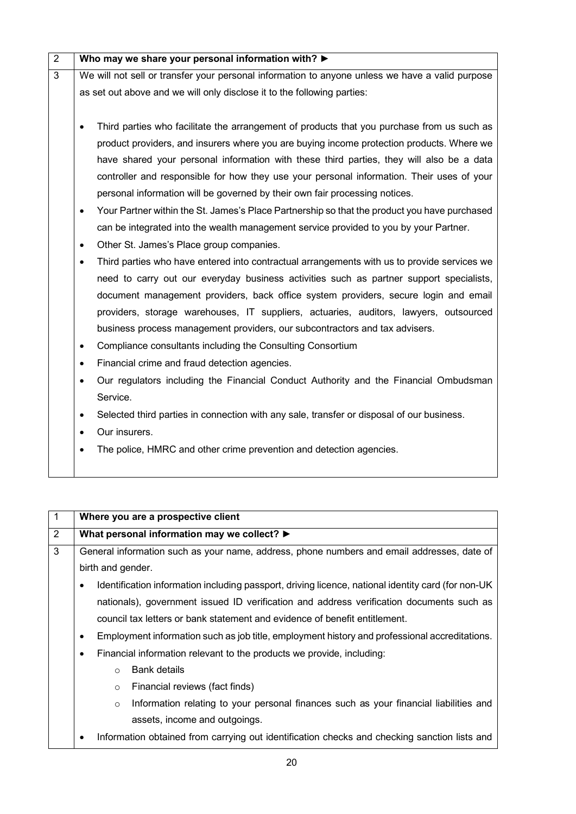| $\overline{2}$ | Who may we share your personal information with? $\blacktriangleright$                                    |
|----------------|-----------------------------------------------------------------------------------------------------------|
| $\overline{3}$ | We will not sell or transfer your personal information to anyone unless we have a valid purpose           |
|                | as set out above and we will only disclose it to the following parties:                                   |
|                |                                                                                                           |
|                | Third parties who facilitate the arrangement of products that you purchase from us such as<br>$\bullet$   |
|                | product providers, and insurers where you are buying income protection products. Where we                 |
|                | have shared your personal information with these third parties, they will also be a data                  |
|                | controller and responsible for how they use your personal information. Their uses of your                 |
|                | personal information will be governed by their own fair processing notices.                               |
|                | Your Partner within the St. James's Place Partnership so that the product you have purchased<br>$\bullet$ |
|                | can be integrated into the wealth management service provided to you by your Partner.                     |
|                | Other St. James's Place group companies.<br>$\bullet$                                                     |
|                | Third parties who have entered into contractual arrangements with us to provide services we<br>$\bullet$  |
|                | need to carry out our everyday business activities such as partner support specialists,                   |
|                | document management providers, back office system providers, secure login and email                       |
|                | providers, storage warehouses, IT suppliers, actuaries, auditors, lawyers, outsourced                     |
|                | business process management providers, our subcontractors and tax advisers.                               |
|                | Compliance consultants including the Consulting Consortium<br>$\bullet$                                   |
|                | Financial crime and fraud detection agencies.<br>$\bullet$                                                |
|                | Our regulators including the Financial Conduct Authority and the Financial Ombudsman                      |
|                | Service.                                                                                                  |
|                | Selected third parties in connection with any sale, transfer or disposal of our business.<br>$\bullet$    |
|                | Our insurers.<br>$\bullet$                                                                                |
|                | The police, HMRC and other crime prevention and detection agencies.                                       |
|                |                                                                                                           |

| $\overline{1}$ |           |                   | Where you are a prospective client                                                                 |
|----------------|-----------|-------------------|----------------------------------------------------------------------------------------------------|
| $\overline{2}$ |           |                   | What personal information may we collect? $\blacktriangleright$                                    |
| 3              |           |                   | General information such as your name, address, phone numbers and email addresses, date of         |
|                |           | birth and gender. |                                                                                                    |
|                | $\bullet$ |                   | Identification information including passport, driving licence, national identity card (for non-UK |
|                |           |                   | nationals), government issued ID verification and address verification documents such as           |
|                |           |                   | council tax letters or bank statement and evidence of benefit entitlement.                         |
|                | ٠         |                   | Employment information such as job title, employment history and professional accreditations.      |
|                | ٠         |                   | Financial information relevant to the products we provide, including:                              |
|                |           | $\circ$           | <b>Bank details</b>                                                                                |
|                |           | $\circ$           | Financial reviews (fact finds)                                                                     |
|                |           | $\circ$           | Information relating to your personal finances such as your financial liabilities and              |
|                |           |                   | assets, income and outgoings.                                                                      |
|                |           |                   | Information obtained from carrying out identification checks and checking sanction lists and       |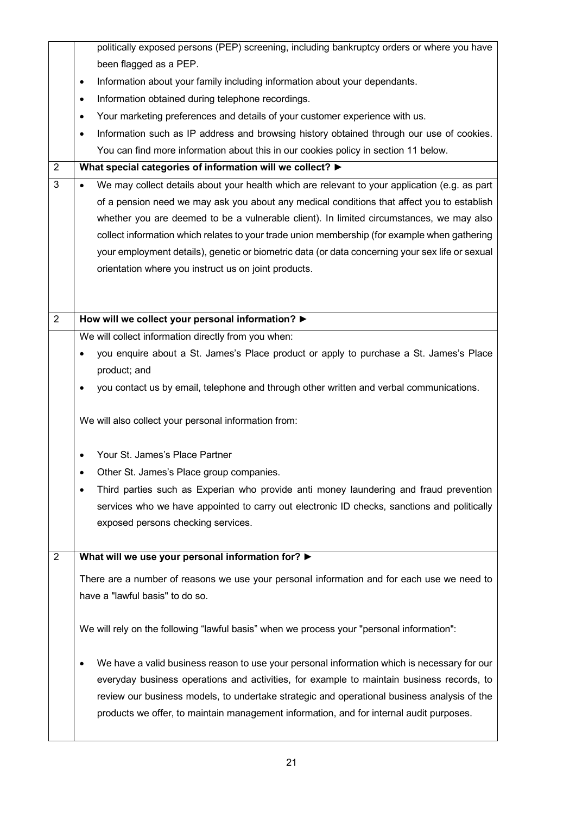|                | politically exposed persons (PEP) screening, including bankruptcy orders or where you have                 |
|----------------|------------------------------------------------------------------------------------------------------------|
|                | been flagged as a PEP.                                                                                     |
|                | Information about your family including information about your dependants.<br>$\bullet$                    |
|                | Information obtained during telephone recordings.<br>$\bullet$                                             |
|                | Your marketing preferences and details of your customer experience with us.<br>$\bullet$                   |
|                | Information such as IP address and browsing history obtained through our use of cookies.<br>$\bullet$      |
|                | You can find more information about this in our cookies policy in section 11 below.                        |
| $\overline{2}$ | What special categories of information will we collect? ▶                                                  |
| 3              | We may collect details about your health which are relevant to your application (e.g. as part<br>$\bullet$ |
|                | of a pension need we may ask you about any medical conditions that affect you to establish                 |
|                | whether you are deemed to be a vulnerable client). In limited circumstances, we may also                   |
|                | collect information which relates to your trade union membership (for example when gathering               |
|                | your employment details), genetic or biometric data (or data concerning your sex life or sexual            |
|                | orientation where you instruct us on joint products.                                                       |
|                |                                                                                                            |
|                |                                                                                                            |
| $\overline{2}$ | How will we collect your personal information? >                                                           |
|                | We will collect information directly from you when:                                                        |
|                | you enquire about a St. James's Place product or apply to purchase a St. James's Place<br>$\bullet$        |
|                | product; and                                                                                               |
|                | you contact us by email, telephone and through other written and verbal communications.                    |
|                |                                                                                                            |
|                | We will also collect your personal information from:                                                       |
|                |                                                                                                            |
|                | Your St. James's Place Partner                                                                             |
|                | Other St. James's Place group companies.                                                                   |
|                | Third parties such as Experian who provide anti money laundering and fraud prevention<br>٠                 |
|                | services who we have appointed to carry out electronic ID checks, sanctions and politically                |
|                | exposed persons checking services.                                                                         |
|                |                                                                                                            |
| $\overline{2}$ | What will we use your personal information for? >                                                          |
|                | There are a number of reasons we use your personal information and for each use we need to                 |
|                | have a "lawful basis" to do so.                                                                            |
|                |                                                                                                            |
|                | We will rely on the following "lawful basis" when we process your "personal information":                  |
|                |                                                                                                            |
|                | We have a valid business reason to use your personal information which is necessary for our<br>٠           |
|                | everyday business operations and activities, for example to maintain business records, to                  |
|                | review our business models, to undertake strategic and operational business analysis of the                |
|                | products we offer, to maintain management information, and for internal audit purposes.                    |
|                |                                                                                                            |
|                |                                                                                                            |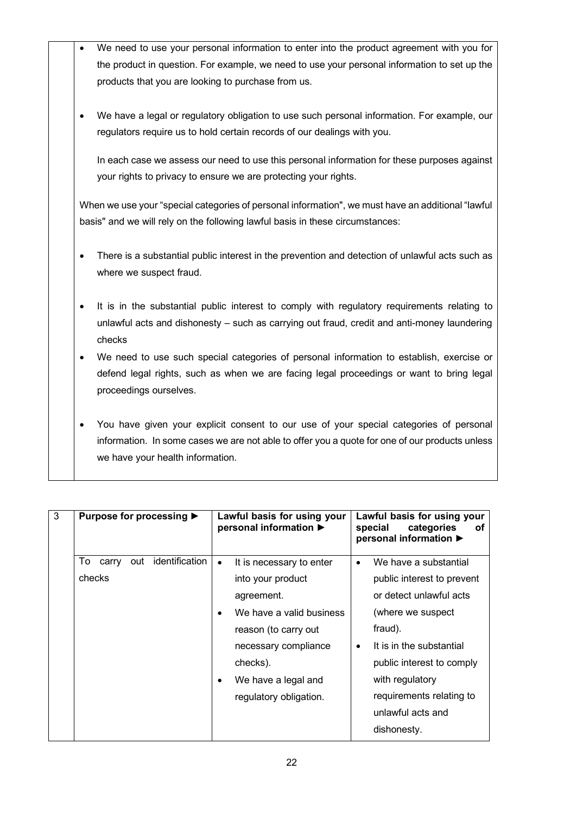- We need to use your personal information to enter into the product agreement with you for the product in question. For example, we need to use your personal information to set up the products that you are looking to purchase from us. • We have a legal or regulatory obligation to use such personal information. For example, our regulators require us to hold certain records of our dealings with you. In each case we assess our need to use this personal information for these purposes against your rights to privacy to ensure we are protecting your rights. When we use your "special categories of personal information", we must have an additional "lawful basis" and we will rely on the following lawful basis in these circumstances: • There is a substantial public interest in the prevention and detection of unlawful acts such as where we suspect fraud.
	- It is in the substantial public interest to comply with regulatory requirements relating to unlawful acts and dishonesty – such as carrying out fraud, credit and anti-money laundering checks
	- We need to use such special categories of personal information to establish, exercise or defend legal rights, such as when we are facing legal proceedings or want to bring legal proceedings ourselves.
	- You have given your explicit consent to our use of your special categories of personal information. In some cases we are not able to offer you a quote for one of our products unless we have your health information.

| 3 | Purpose for processing ▶             | Lawful basis for using your<br>personal information ▶ | Lawful basis for using your<br>categories<br>special<br>оf<br>personal information ▶ |
|---|--------------------------------------|-------------------------------------------------------|--------------------------------------------------------------------------------------|
|   | identification<br>To<br>out<br>carry | It is necessary to enter<br>$\bullet$                 | We have a substantial<br>$\bullet$                                                   |
|   | checks                               | into your product                                     | public interest to prevent                                                           |
|   |                                      | agreement.                                            | or detect unlawful acts                                                              |
|   |                                      | We have a valid business                              | (where we suspect                                                                    |
|   |                                      | reason (to carry out                                  | fraud).                                                                              |
|   |                                      | necessary compliance                                  | It is in the substantial<br>$\bullet$                                                |
|   |                                      | checks).                                              | public interest to comply                                                            |
|   |                                      | We have a legal and                                   | with regulatory                                                                      |
|   |                                      | regulatory obligation.                                | requirements relating to                                                             |
|   |                                      |                                                       | unlawful acts and                                                                    |
|   |                                      |                                                       | dishonesty.                                                                          |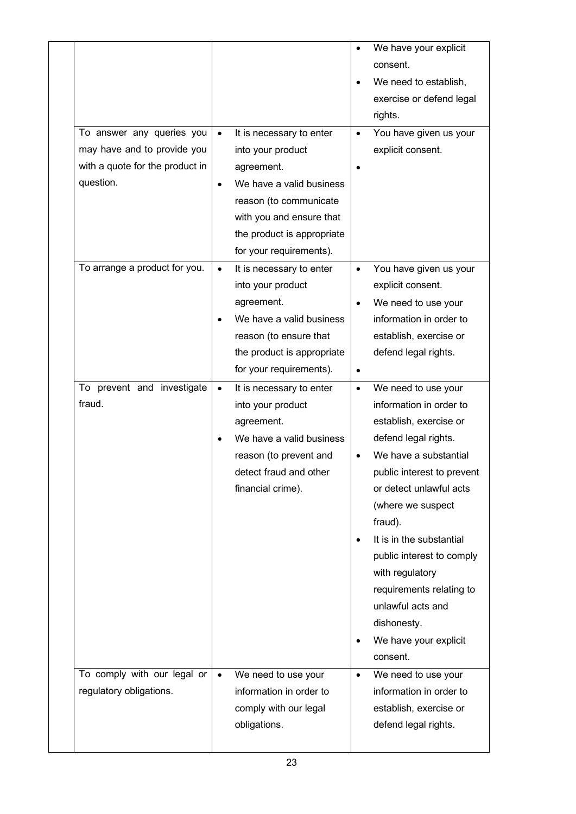|                                                                                                          |                        |                                                                                                                                                                                                        |                                     | We have your explicit<br>consent.<br>We need to establish,<br>exercise or defend legal<br>rights.                                                                                                                                                                                                                                                                                                   |
|----------------------------------------------------------------------------------------------------------|------------------------|--------------------------------------------------------------------------------------------------------------------------------------------------------------------------------------------------------|-------------------------------------|-----------------------------------------------------------------------------------------------------------------------------------------------------------------------------------------------------------------------------------------------------------------------------------------------------------------------------------------------------------------------------------------------------|
| To answer any queries you<br>may have and to provide you<br>with a quote for the product in<br>question. | $\bullet$<br>$\bullet$ | It is necessary to enter<br>into your product<br>agreement.<br>We have a valid business<br>reason (to communicate<br>with you and ensure that<br>the product is appropriate<br>for your requirements). | $\bullet$                           | You have given us your<br>explicit consent.                                                                                                                                                                                                                                                                                                                                                         |
| To arrange a product for you.                                                                            | $\bullet$              | It is necessary to enter<br>into your product<br>agreement.<br>We have a valid business<br>reason (to ensure that<br>the product is appropriate<br>for your requirements).                             | $\bullet$<br>$\bullet$<br>$\bullet$ | You have given us your<br>explicit consent.<br>We need to use your<br>information in order to<br>establish, exercise or<br>defend legal rights.                                                                                                                                                                                                                                                     |
| To prevent and investigate<br>fraud.                                                                     | $\bullet$              | It is necessary to enter<br>into your product<br>agreement.<br>We have a valid business<br>reason (to prevent and<br>detect fraud and other<br>financial crime).                                       | $\bullet$<br>$\bullet$              | We need to use your<br>information in order to<br>establish, exercise or<br>defend legal rights.<br>We have a substantial<br>public interest to prevent<br>or detect unlawful acts<br>(where we suspect<br>fraud).<br>It is in the substantial<br>public interest to comply<br>with regulatory<br>requirements relating to<br>unlawful acts and<br>dishonesty.<br>We have your explicit<br>consent. |
| To comply with our legal or<br>regulatory obligations.                                                   | $\bullet$              | We need to use your<br>information in order to<br>comply with our legal<br>obligations.                                                                                                                | $\bullet$                           | We need to use your<br>information in order to<br>establish, exercise or<br>defend legal rights.                                                                                                                                                                                                                                                                                                    |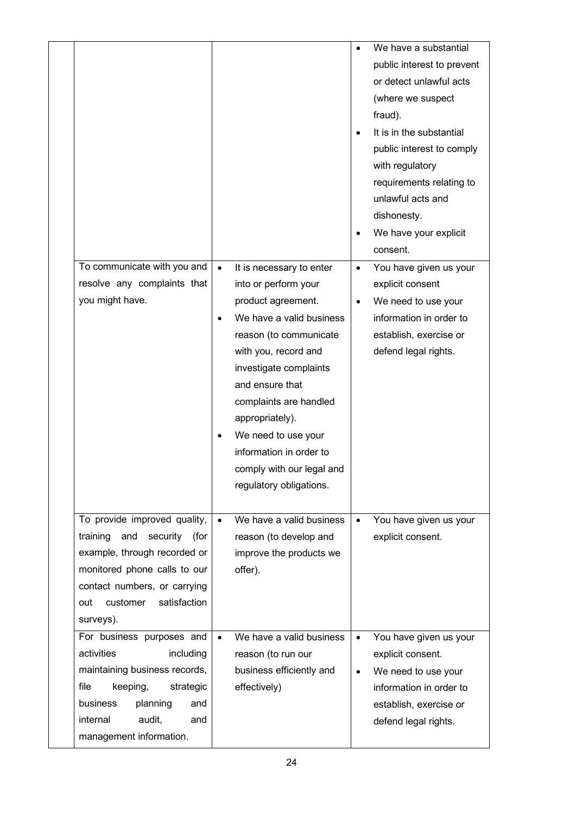|      |                                     |           |                           |           | We have a substantial      |
|------|-------------------------------------|-----------|---------------------------|-----------|----------------------------|
|      |                                     |           |                           |           | public interest to prevent |
|      |                                     |           |                           |           | or detect unlawful acts    |
|      |                                     |           |                           |           | (where we suspect          |
|      |                                     |           |                           |           | fraud).                    |
|      |                                     |           |                           |           | It is in the substantial   |
|      |                                     |           |                           |           | public interest to comply  |
|      |                                     |           |                           |           | with regulatory            |
|      |                                     |           |                           |           | requirements relating to   |
|      |                                     |           |                           |           | unlawful acts and          |
|      |                                     |           |                           |           | dishonesty.                |
|      |                                     |           |                           |           | We have your explicit      |
|      |                                     |           |                           |           | consent.                   |
|      | To communicate with you and         | $\bullet$ | It is necessary to enter  | $\bullet$ | You have given us your     |
|      | resolve any complaints that         |           | into or perform your      |           | explicit consent           |
|      | you might have.                     |           | product agreement.        | $\bullet$ | We need to use your        |
|      |                                     |           | We have a valid business  |           | information in order to    |
|      |                                     |           | reason (to communicate    |           | establish, exercise or     |
|      |                                     |           | with you, record and      |           | defend legal rights.       |
|      |                                     |           | investigate complaints    |           |                            |
|      |                                     |           | and ensure that           |           |                            |
|      |                                     |           | complaints are handled    |           |                            |
|      |                                     |           | appropriately).           |           |                            |
|      |                                     |           | We need to use your       |           |                            |
|      |                                     |           | information in order to   |           |                            |
|      |                                     |           | comply with our legal and |           |                            |
|      |                                     |           | regulatory obligations.   |           |                            |
|      |                                     |           |                           |           |                            |
|      | To provide improved quality,        | $\bullet$ | We have a valid business  | $\bullet$ | You have given us your     |
|      | training<br>and<br>security<br>(for |           | reason (to develop and    |           | explicit consent.          |
|      | example, through recorded or        |           | improve the products we   |           |                            |
|      | monitored phone calls to our        |           | offer).                   |           |                            |
|      | contact numbers, or carrying        |           |                           |           |                            |
| out  | satisfaction<br>customer            |           |                           |           |                            |
|      | surveys).                           |           |                           |           |                            |
|      | For business purposes and           | $\bullet$ | We have a valid business  | $\bullet$ | You have given us your     |
|      | activities<br>including             |           | reason (to run our        |           | explicit consent.          |
|      | maintaining business records,       |           | business efficiently and  | $\bullet$ | We need to use your        |
| file | keeping,<br>strategic               |           | effectively)              |           | information in order to    |
|      | planning<br>business<br>and         |           |                           |           | establish, exercise or     |
|      | internal<br>audit,<br>and           |           |                           |           | defend legal rights.       |
|      | management information.             |           |                           |           |                            |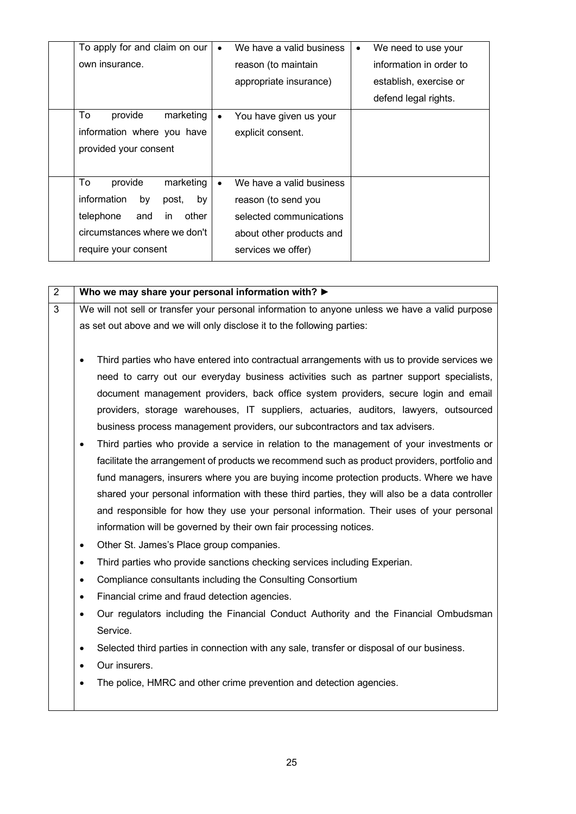| To apply for and claim on our    | $\bullet$ | We have a valid business | ٠ | We need to use your     |
|----------------------------------|-----------|--------------------------|---|-------------------------|
| own insurance.                   |           | reason (to maintain      |   | information in order to |
|                                  |           | appropriate insurance)   |   | establish, exercise or  |
|                                  |           |                          |   | defend legal rights.    |
| To<br>marketing<br>provide       | ٠         | You have given us your   |   |                         |
| information where you have       |           | explicit consent.        |   |                         |
| provided your consent            |           |                          |   |                         |
|                                  |           |                          |   |                         |
| To<br>provide<br>marketing       | $\bullet$ | We have a valid business |   |                         |
| information<br>by<br>by<br>post, |           | reason (to send you      |   |                         |
| telephone<br>and<br>other<br>in. |           | selected communications  |   |                         |
| circumstances where we don't     |           | about other products and |   |                         |
| require your consent             |           | services we offer)       |   |                         |

2 **Who we may share your personal information with? ►** 3 We will not sell or transfer your personal information to anyone unless we have a valid purpose as set out above and we will only disclose it to the following parties: • Third parties who have entered into contractual arrangements with us to provide services we need to carry out our everyday business activities such as partner support specialists, document management providers, back office system providers, secure login and email providers, storage warehouses, IT suppliers, actuaries, auditors, lawyers, outsourced business process management providers, our subcontractors and tax advisers. • Third parties who provide a service in relation to the management of your investments or facilitate the arrangement of products we recommend such as product providers, portfolio and fund managers, insurers where you are buying income protection products. Where we have shared your personal information with these third parties, they will also be a data controller and responsible for how they use your personal information. Their uses of your personal information will be governed by their own fair processing notices. • Other St. James's Place group companies. Third parties who provide sanctions checking services including Experian. • Compliance consultants including the Consulting Consortium • Financial crime and fraud detection agencies. • Our regulators including the Financial Conduct Authority and the Financial Ombudsman Service.

- Selected third parties in connection with any sale, transfer or disposal of our business.
- Our insurers.
- The police, HMRC and other crime prevention and detection agencies.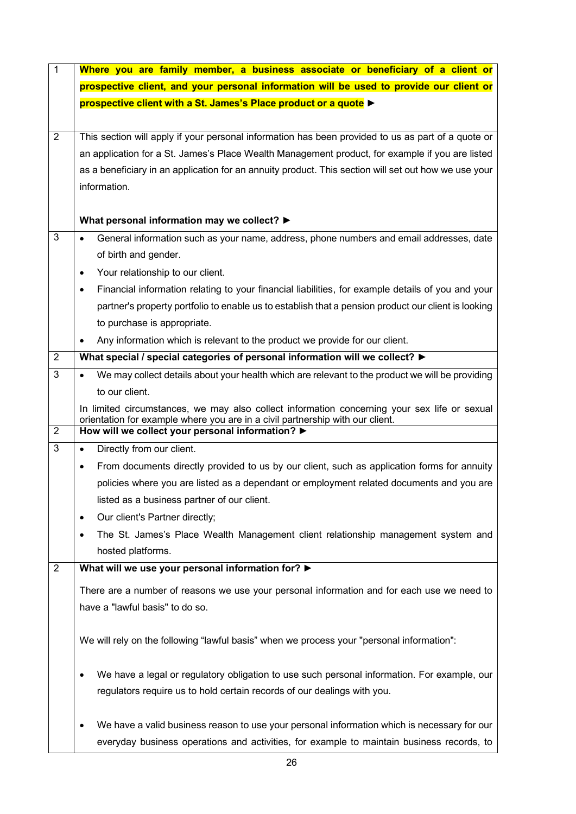| $\mathbf{1}$   | Where you are family member, a business associate or beneficiary of a client or                                                   |
|----------------|-----------------------------------------------------------------------------------------------------------------------------------|
|                | prospective client, and your personal information will be used to provide our client or                                           |
|                | prospective client with a St. James's Place product or a quote >                                                                  |
|                |                                                                                                                                   |
| $\overline{2}$ | This section will apply if your personal information has been provided to us as part of a quote or                                |
|                | an application for a St. James's Place Wealth Management product, for example if you are listed                                   |
|                | as a beneficiary in an application for an annuity product. This section will set out how we use your                              |
|                | information.                                                                                                                      |
|                |                                                                                                                                   |
|                | What personal information may we collect? ▶                                                                                       |
| 3              | General information such as your name, address, phone numbers and email addresses, date                                           |
|                | of birth and gender.                                                                                                              |
|                | Your relationship to our client.<br>٠                                                                                             |
|                | Financial information relating to your financial liabilities, for example details of you and your                                 |
|                | partner's property portfolio to enable us to establish that a pension product our client is looking                               |
|                | to purchase is appropriate.                                                                                                       |
|                | Any information which is relevant to the product we provide for our client.                                                       |
| $\overline{2}$ | What special / special categories of personal information will we collect? ▶                                                      |
| 3              | We may collect details about your health which are relevant to the product we will be providing                                   |
|                | to our client.                                                                                                                    |
|                | In limited circumstances, we may also collect information concerning your sex life or sexual                                      |
| $\overline{2}$ | orientation for example where you are in a civil partnership with our client.<br>How will we collect your personal information? > |
| 3              | Directly from our client.<br>$\bullet$                                                                                            |
|                | From documents directly provided to us by our client, such as application forms for annuity<br>$\bullet$                          |
|                |                                                                                                                                   |
|                | policies where you are listed as a dependant or employment related documents and you are                                          |
|                | listed as a business partner of our client.                                                                                       |
|                | Our client's Partner directly;                                                                                                    |
|                | The St. James's Place Wealth Management client relationship management system and                                                 |
|                | hosted platforms.                                                                                                                 |
| $\overline{2}$ | What will we use your personal information for?                                                                                   |
|                | There are a number of reasons we use your personal information and for each use we need to                                        |
|                | have a "lawful basis" to do so.                                                                                                   |
|                |                                                                                                                                   |
|                | We will rely on the following "lawful basis" when we process your "personal information":                                         |
|                | We have a legal or regulatory obligation to use such personal information. For example, our                                       |
|                | regulators require us to hold certain records of our dealings with you.                                                           |
|                |                                                                                                                                   |
|                | We have a valid business reason to use your personal information which is necessary for our                                       |
|                | everyday business operations and activities, for example to maintain business records, to                                         |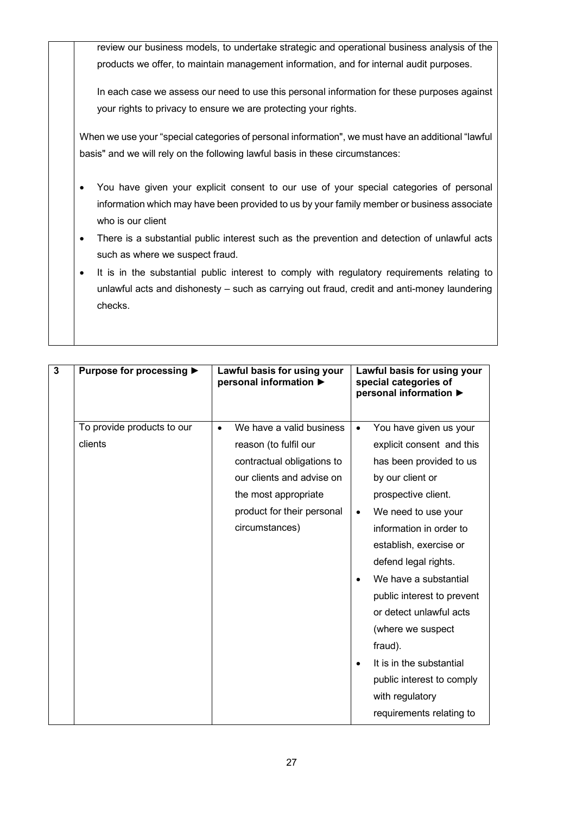review our business models, to undertake strategic and operational business analysis of the products we offer, to maintain management information, and for internal audit purposes.

In each case we assess our need to use this personal information for these purposes against your rights to privacy to ensure we are protecting your rights.

When we use your "special categories of personal information", we must have an additional "lawful basis" and we will rely on the following lawful basis in these circumstances:

- You have given your explicit consent to our use of your special categories of personal information which may have been provided to us by your family member or business associate who is our client
- There is a substantial public interest such as the prevention and detection of unlawful acts such as where we suspect fraud.
- It is in the substantial public interest to comply with regulatory requirements relating to unlawful acts and dishonesty – such as carrying out fraud, credit and anti-money laundering checks.

| $\mathbf{3}$ | Purpose for processing ▶              | Lawful basis for using your<br>personal information ▶                                                                                                                                             | Lawful basis for using your<br>special categories of<br>personal information ▶                                                                                                                                                                                                                                                                                                                                                                                                                              |
|--------------|---------------------------------------|---------------------------------------------------------------------------------------------------------------------------------------------------------------------------------------------------|-------------------------------------------------------------------------------------------------------------------------------------------------------------------------------------------------------------------------------------------------------------------------------------------------------------------------------------------------------------------------------------------------------------------------------------------------------------------------------------------------------------|
|              | To provide products to our<br>clients | We have a valid business<br>$\bullet$<br>reason (to fulfil our<br>contractual obligations to<br>our clients and advise on<br>the most appropriate<br>product for their personal<br>circumstances) | You have given us your<br>$\bullet$<br>explicit consent and this<br>has been provided to us<br>by our client or<br>prospective client.<br>We need to use your<br>$\bullet$<br>information in order to<br>establish, exercise or<br>defend legal rights.<br>We have a substantial<br>$\bullet$<br>public interest to prevent<br>or detect unlawful acts<br>(where we suspect<br>fraud).<br>It is in the substantial<br>$\bullet$<br>public interest to comply<br>with regulatory<br>requirements relating to |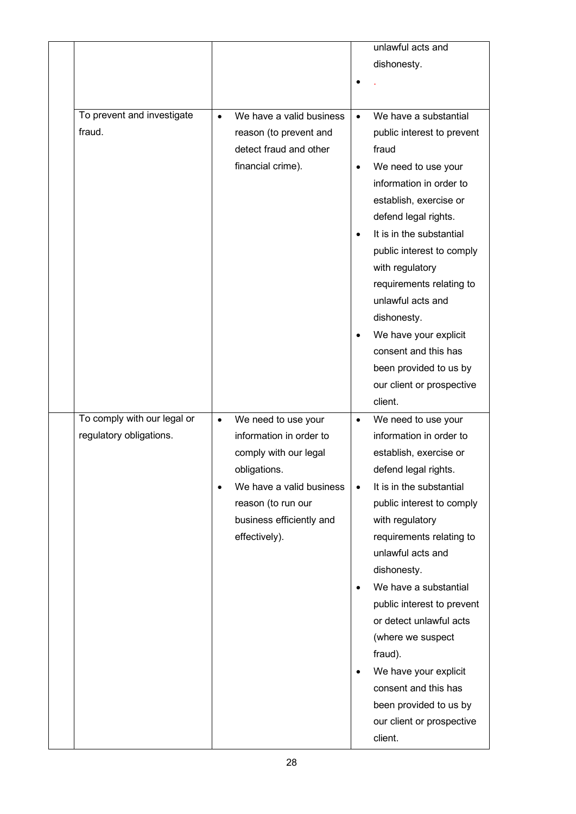|                             |           |                          |           | unlawful acts and                             |
|-----------------------------|-----------|--------------------------|-----------|-----------------------------------------------|
|                             |           |                          |           | dishonesty.                                   |
|                             |           |                          |           |                                               |
|                             |           |                          |           |                                               |
| To prevent and investigate  | $\bullet$ | We have a valid business | $\bullet$ | We have a substantial                         |
| fraud.                      |           | reason (to prevent and   |           | public interest to prevent                    |
|                             |           | detect fraud and other   |           | fraud                                         |
|                             |           | financial crime).        | $\bullet$ | We need to use your                           |
|                             |           |                          |           | information in order to                       |
|                             |           |                          |           | establish, exercise or                        |
|                             |           |                          |           | defend legal rights.                          |
|                             |           |                          | $\bullet$ | It is in the substantial                      |
|                             |           |                          |           | public interest to comply                     |
|                             |           |                          |           | with regulatory                               |
|                             |           |                          |           | requirements relating to                      |
|                             |           |                          |           | unlawful acts and                             |
|                             |           |                          |           | dishonesty.                                   |
|                             |           |                          |           |                                               |
|                             |           |                          | $\bullet$ | We have your explicit<br>consent and this has |
|                             |           |                          |           |                                               |
|                             |           |                          |           | been provided to us by                        |
|                             |           |                          |           | our client or prospective                     |
|                             |           |                          |           | client.                                       |
| To comply with our legal or | $\bullet$ | We need to use your      | $\bullet$ | We need to use your                           |
| regulatory obligations.     |           | information in order to  |           | information in order to                       |
|                             |           | comply with our legal    |           | establish, exercise or                        |
|                             |           | obligations.             |           | defend legal rights.                          |
|                             | $\bullet$ | We have a valid business |           | It is in the substantial                      |
|                             |           |                          | $\bullet$ |                                               |
|                             |           | reason (to run our       |           | public interest to comply                     |
|                             |           | business efficiently and |           | with regulatory                               |
|                             |           | effectively).            |           | requirements relating to                      |
|                             |           |                          |           | unlawful acts and                             |
|                             |           |                          |           | dishonesty.                                   |
|                             |           |                          | $\bullet$ | We have a substantial                         |
|                             |           |                          |           | public interest to prevent                    |
|                             |           |                          |           | or detect unlawful acts                       |
|                             |           |                          |           | (where we suspect                             |
|                             |           |                          |           | fraud).                                       |
|                             |           |                          | $\bullet$ | We have your explicit                         |
|                             |           |                          |           | consent and this has                          |
|                             |           |                          |           | been provided to us by                        |
|                             |           |                          |           | our client or prospective                     |
|                             |           |                          |           | client.                                       |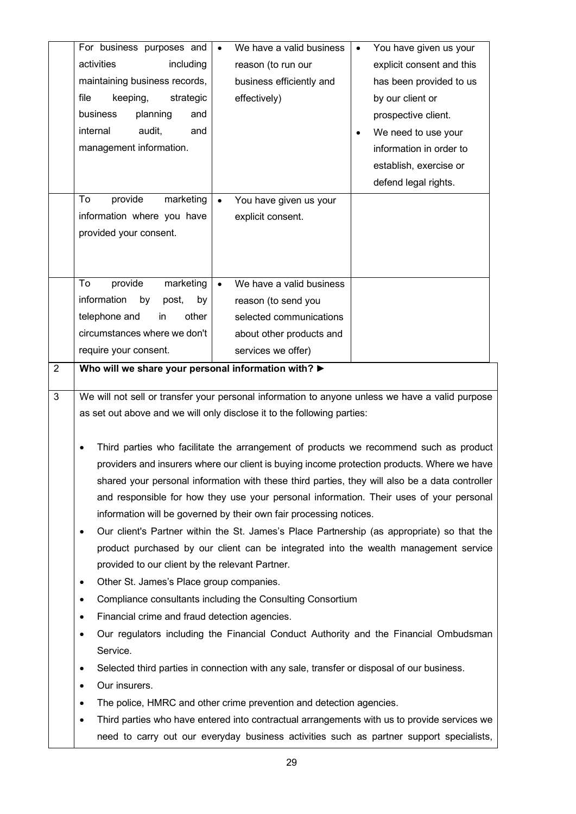|                | For business purposes and                                               | $\bullet$ | We have a valid business                                                                  | You have given us your<br>$\bullet$                                                                                                                                                    |
|----------------|-------------------------------------------------------------------------|-----------|-------------------------------------------------------------------------------------------|----------------------------------------------------------------------------------------------------------------------------------------------------------------------------------------|
|                | activities<br>including                                                 |           | reason (to run our                                                                        | explicit consent and this                                                                                                                                                              |
|                | maintaining business records,                                           |           | business efficiently and                                                                  | has been provided to us                                                                                                                                                                |
|                | file<br>keeping,<br>strategic                                           |           | effectively)                                                                              | by our client or                                                                                                                                                                       |
|                | planning<br>business<br>and                                             |           |                                                                                           | prospective client.                                                                                                                                                                    |
|                | internal<br>audit,<br>and                                               |           |                                                                                           | We need to use your                                                                                                                                                                    |
|                | management information.                                                 |           |                                                                                           | information in order to                                                                                                                                                                |
|                |                                                                         |           |                                                                                           | establish, exercise or                                                                                                                                                                 |
|                |                                                                         |           |                                                                                           | defend legal rights.                                                                                                                                                                   |
|                | provide<br>marketing<br>To                                              | $\bullet$ | You have given us your                                                                    |                                                                                                                                                                                        |
|                | information where you have                                              |           | explicit consent.                                                                         |                                                                                                                                                                                        |
|                | provided your consent.                                                  |           |                                                                                           |                                                                                                                                                                                        |
|                |                                                                         |           |                                                                                           |                                                                                                                                                                                        |
|                |                                                                         |           |                                                                                           |                                                                                                                                                                                        |
|                | provide<br>To<br>marketing                                              |           | We have a valid business                                                                  |                                                                                                                                                                                        |
|                | information<br>by<br>post,<br>by                                        |           | reason (to send you                                                                       |                                                                                                                                                                                        |
|                | telephone and<br>other<br>in                                            |           | selected communications                                                                   |                                                                                                                                                                                        |
|                | circumstances where we don't                                            |           | about other products and                                                                  |                                                                                                                                                                                        |
|                | require your consent.                                                   |           | services we offer)                                                                        |                                                                                                                                                                                        |
| $\overline{2}$ | Who will we share your personal information with?                       |           |                                                                                           |                                                                                                                                                                                        |
|                |                                                                         |           |                                                                                           |                                                                                                                                                                                        |
| 3              |                                                                         |           |                                                                                           | We will not sell or transfer your personal information to anyone unless we have a valid purpose                                                                                        |
|                | as set out above and we will only disclose it to the following parties: |           |                                                                                           |                                                                                                                                                                                        |
|                |                                                                         |           |                                                                                           |                                                                                                                                                                                        |
|                |                                                                         |           |                                                                                           |                                                                                                                                                                                        |
|                |                                                                         |           |                                                                                           | Third parties who facilitate the arrangement of products we recommend such as product                                                                                                  |
|                |                                                                         |           |                                                                                           | providers and insurers where our client is buying income protection products. Where we have                                                                                            |
|                |                                                                         |           |                                                                                           | shared your personal information with these third parties, they will also be a data controller                                                                                         |
|                |                                                                         |           |                                                                                           | and responsible for how they use your personal information. Their uses of your personal                                                                                                |
|                | $\bullet$                                                               |           | information will be governed by their own fair processing notices.                        |                                                                                                                                                                                        |
|                |                                                                         |           |                                                                                           | Our client's Partner within the St. James's Place Partnership (as appropriate) so that the                                                                                             |
|                |                                                                         |           |                                                                                           | product purchased by our client can be integrated into the wealth management service                                                                                                   |
|                | provided to our client by the relevant Partner.<br>$\bullet$            |           |                                                                                           |                                                                                                                                                                                        |
|                | Other St. James's Place group companies.<br>$\bullet$                   |           |                                                                                           |                                                                                                                                                                                        |
|                | ٠                                                                       |           | Compliance consultants including the Consulting Consortium                                |                                                                                                                                                                                        |
|                | Financial crime and fraud detection agencies.<br>$\bullet$              |           |                                                                                           |                                                                                                                                                                                        |
|                |                                                                         |           |                                                                                           | Our regulators including the Financial Conduct Authority and the Financial Ombudsman                                                                                                   |
|                | Service.<br>٠                                                           |           |                                                                                           |                                                                                                                                                                                        |
|                | ٠                                                                       |           | Selected third parties in connection with any sale, transfer or disposal of our business. |                                                                                                                                                                                        |
|                | Our insurers.<br>٠                                                      |           |                                                                                           |                                                                                                                                                                                        |
|                | ٠                                                                       |           | The police, HMRC and other crime prevention and detection agencies.                       |                                                                                                                                                                                        |
|                |                                                                         |           |                                                                                           | Third parties who have entered into contractual arrangements with us to provide services we<br>need to carry out our everyday business activities such as partner support specialists, |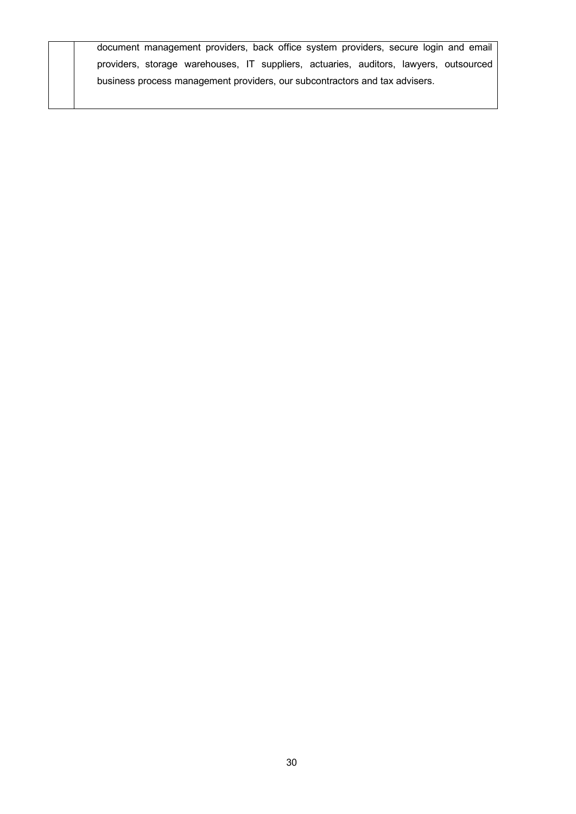document management providers, back office system providers, secure login and email providers, storage warehouses, IT suppliers, actuaries, auditors, lawyers, outsourced business process management providers, our subcontractors and tax advisers.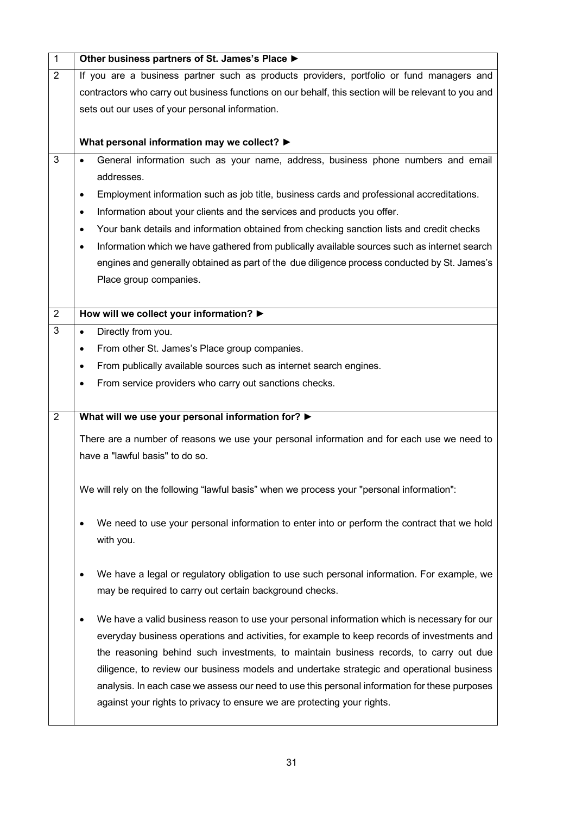| 1              | Other business partners of St. James's Place ▶                                                            |
|----------------|-----------------------------------------------------------------------------------------------------------|
| 2              | If you are a business partner such as products providers, portfolio or fund managers and                  |
|                | contractors who carry out business functions on our behalf, this section will be relevant to you and      |
|                | sets out our uses of your personal information.                                                           |
|                |                                                                                                           |
|                | What personal information may we collect? ▶                                                               |
| 3              | General information such as your name, address, business phone numbers and email<br>$\bullet$             |
|                | addresses.                                                                                                |
|                | Employment information such as job title, business cards and professional accreditations.<br>٠            |
|                | Information about your clients and the services and products you offer.<br>$\bullet$                      |
|                | Your bank details and information obtained from checking sanction lists and credit checks<br>$\bullet$    |
|                | Information which we have gathered from publically available sources such as internet search<br>$\bullet$ |
|                | engines and generally obtained as part of the due diligence process conducted by St. James's              |
|                | Place group companies.                                                                                    |
|                |                                                                                                           |
| $\overline{2}$ | How will we collect your information? ▶                                                                   |
| 3              | Directly from you.<br>$\bullet$                                                                           |
|                | From other St. James's Place group companies.<br>٠                                                        |
|                | From publically available sources such as internet search engines.<br>$\bullet$                           |
|                | From service providers who carry out sanctions checks.<br>٠                                               |
|                |                                                                                                           |
| $\overline{2}$ | What will we use your personal information for? >                                                         |
|                | There are a number of reasons we use your personal information and for each use we need to                |
|                | have a "lawful basis" to do so.                                                                           |
|                |                                                                                                           |
|                | We will rely on the following "lawful basis" when we process your "personal information":                 |
|                |                                                                                                           |
|                | We need to use your personal information to enter into or perform the contract that we hold               |
|                | with you.                                                                                                 |
|                |                                                                                                           |
|                | We have a legal or regulatory obligation to use such personal information. For example, we<br>٠           |
|                | may be required to carry out certain background checks.                                                   |
|                |                                                                                                           |
|                | We have a valid business reason to use your personal information which is necessary for our<br>٠          |
|                | everyday business operations and activities, for example to keep records of investments and               |
|                | the reasoning behind such investments, to maintain business records, to carry out due                     |
|                | diligence, to review our business models and undertake strategic and operational business                 |
|                | analysis. In each case we assess our need to use this personal information for these purposes             |
|                | against your rights to privacy to ensure we are protecting your rights.                                   |
|                |                                                                                                           |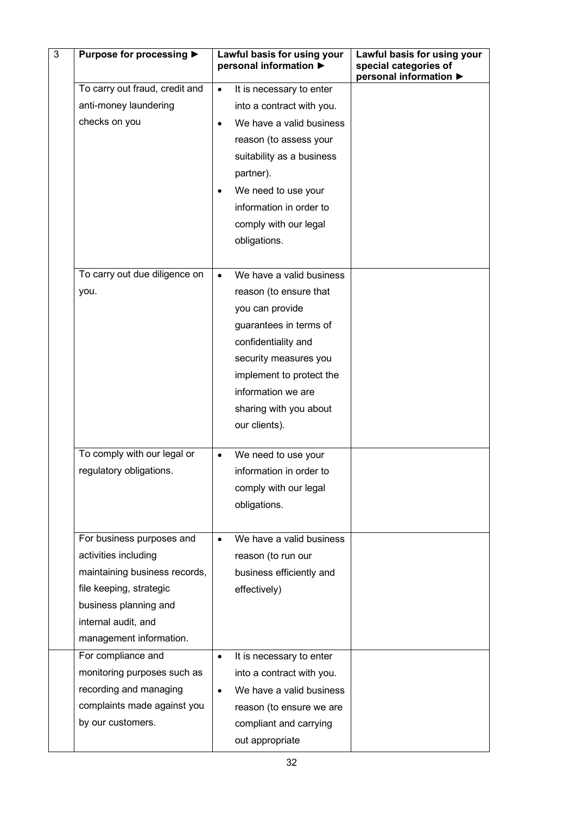| 3 | Purpose for processing ▶                          |           | Lawful basis for using your<br>personal information ▶ | Lawful basis for using your<br>special categories of<br>personal information ▶ |
|---|---------------------------------------------------|-----------|-------------------------------------------------------|--------------------------------------------------------------------------------|
|   | To carry out fraud, credit and                    | $\bullet$ | It is necessary to enter                              |                                                                                |
|   | anti-money laundering                             |           | into a contract with you.                             |                                                                                |
|   | checks on you                                     | $\bullet$ | We have a valid business                              |                                                                                |
|   |                                                   |           | reason (to assess your                                |                                                                                |
|   |                                                   |           | suitability as a business                             |                                                                                |
|   |                                                   |           | partner).                                             |                                                                                |
|   |                                                   |           | We need to use your                                   |                                                                                |
|   |                                                   |           | information in order to                               |                                                                                |
|   |                                                   |           | comply with our legal                                 |                                                                                |
|   |                                                   |           | obligations.                                          |                                                                                |
|   |                                                   |           |                                                       |                                                                                |
|   | To carry out due diligence on                     | $\bullet$ | We have a valid business                              |                                                                                |
|   | you.                                              |           | reason (to ensure that                                |                                                                                |
|   |                                                   |           | you can provide                                       |                                                                                |
|   |                                                   |           | guarantees in terms of                                |                                                                                |
|   |                                                   |           | confidentiality and                                   |                                                                                |
|   |                                                   |           | security measures you                                 |                                                                                |
|   |                                                   |           | implement to protect the                              |                                                                                |
|   |                                                   |           | information we are                                    |                                                                                |
|   |                                                   |           | sharing with you about                                |                                                                                |
|   |                                                   |           | our clients).                                         |                                                                                |
|   | To comply with our legal or                       | $\bullet$ | We need to use your                                   |                                                                                |
|   | regulatory obligations.                           |           | information in order to                               |                                                                                |
|   |                                                   |           | comply with our legal                                 |                                                                                |
|   |                                                   |           | obligations.                                          |                                                                                |
|   |                                                   |           |                                                       |                                                                                |
|   | For business purposes and<br>activities including | $\bullet$ | We have a valid business                              |                                                                                |
|   | maintaining business records,                     |           | reason (to run our<br>business efficiently and        |                                                                                |
|   | file keeping, strategic                           |           | effectively)                                          |                                                                                |
|   | business planning and                             |           |                                                       |                                                                                |
|   | internal audit, and                               |           |                                                       |                                                                                |
|   | management information.                           |           |                                                       |                                                                                |
|   | For compliance and                                | $\bullet$ | It is necessary to enter                              |                                                                                |
|   | monitoring purposes such as                       |           | into a contract with you.                             |                                                                                |
|   | recording and managing                            |           | We have a valid business                              |                                                                                |
|   | complaints made against you                       |           | reason (to ensure we are                              |                                                                                |
|   | by our customers.                                 |           | compliant and carrying                                |                                                                                |
|   |                                                   |           | out appropriate                                       |                                                                                |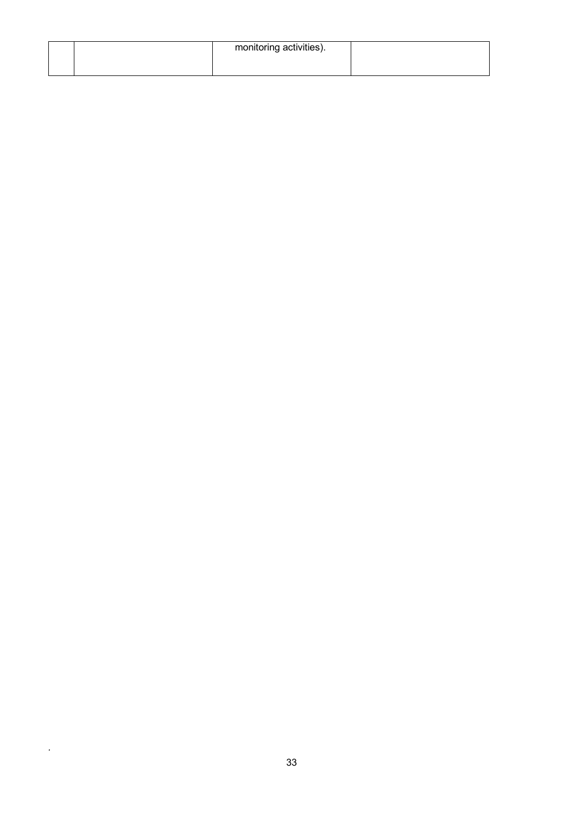|  | monitoring activities). |  |
|--|-------------------------|--|
|  |                         |  |
|  |                         |  |

*.*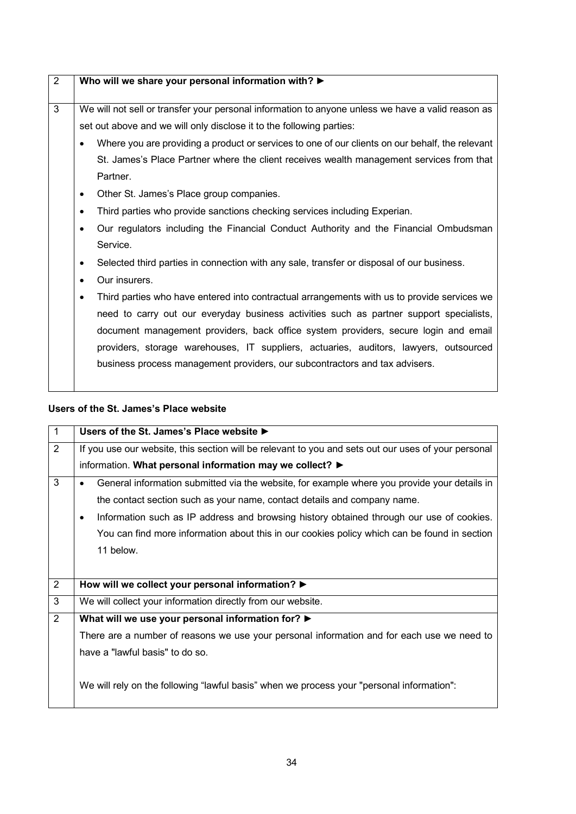| $\overline{2}$ | Who will we share your personal information with? $\blacktriangleright$                                                                                                                                                                                                                                                                                                                                                                                                                                                                                                                                                                                                                                                                       |
|----------------|-----------------------------------------------------------------------------------------------------------------------------------------------------------------------------------------------------------------------------------------------------------------------------------------------------------------------------------------------------------------------------------------------------------------------------------------------------------------------------------------------------------------------------------------------------------------------------------------------------------------------------------------------------------------------------------------------------------------------------------------------|
| 3              | We will not sell or transfer your personal information to anyone unless we have a valid reason as<br>set out above and we will only disclose it to the following parties:<br>Where you are providing a product or services to one of our clients on our behalf, the relevant<br>St. James's Place Partner where the client receives wealth management services from that<br>Partner.<br>Other St. James's Place group companies.<br>$\bullet$<br>Third parties who provide sanctions checking services including Experian.<br>Our regulators including the Financial Conduct Authority and the Financial Ombudsman<br>$\bullet$<br>Service.<br>Selected third parties in connection with any sale, transfer or disposal of our business.<br>٠ |
|                | Our insurers.<br>$\bullet$<br>Third parties who have entered into contractual arrangements with us to provide services we<br>$\bullet$<br>need to carry out our everyday business activities such as partner support specialists,<br>document management providers, back office system providers, secure login and email<br>providers, storage warehouses, IT suppliers, actuaries, auditors, lawyers, outsourced<br>business process management providers, our subcontractors and tax advisers.                                                                                                                                                                                                                                              |

## **Users of the St. James's Place website**

| $\mathbf{1}$   | Users of the St. James's Place website ▶                                                                  |
|----------------|-----------------------------------------------------------------------------------------------------------|
| $\overline{2}$ | If you use our website, this section will be relevant to you and sets out our uses of your personal       |
|                | information. What personal information may we collect? $\blacktriangleright$                              |
| 3              | General information submitted via the website, for example where you provide your details in<br>$\bullet$ |
|                | the contact section such as your name, contact details and company name.                                  |
|                | Information such as IP address and browsing history obtained through our use of cookies.<br>٠             |
|                | You can find more information about this in our cookies policy which can be found in section              |
|                | 11 below.                                                                                                 |
|                |                                                                                                           |
| 2              | How will we collect your personal information? >                                                          |
| 3              | We will collect your information directly from our website.                                               |
| 2              | What will we use your personal information for? ▶                                                         |
|                | There are a number of reasons we use your personal information and for each use we need to                |
|                | have a "lawful basis" to do so.                                                                           |
|                | We will rely on the following "lawful basis" when we process your "personal information":                 |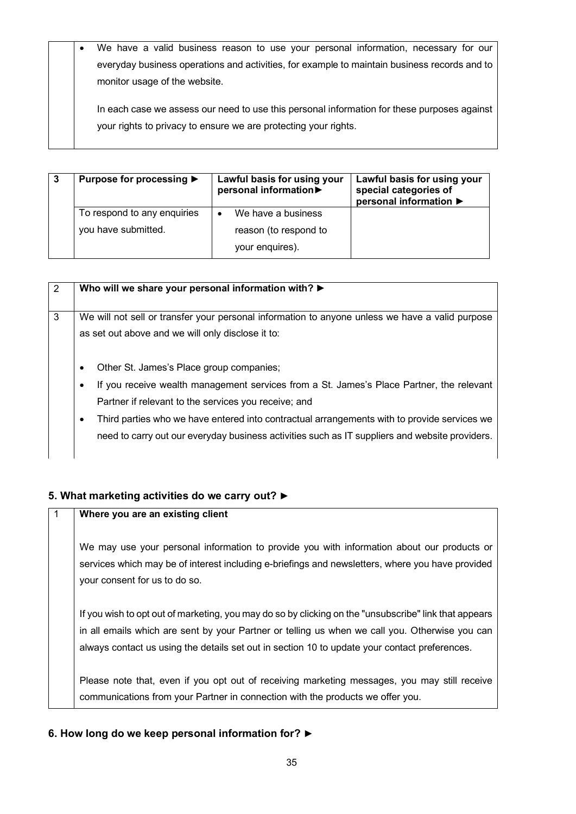| $\bullet$ | We have a valid business reason to use your personal information, necessary for our          |
|-----------|----------------------------------------------------------------------------------------------|
|           | everyday business operations and activities, for example to maintain business records and to |
|           | monitor usage of the website.                                                                |
|           | In each case we assess our need to use this personal information for these purposes against  |

your rights to privacy to ensure we are protecting your rights.

| Purpose for processing ▶    | Lawful basis for using your<br>personal information | Lawful basis for using your<br>special categories of<br>personal information ▶ |
|-----------------------------|-----------------------------------------------------|--------------------------------------------------------------------------------|
| To respond to any enquiries | We have a business                                  |                                                                                |
| you have submitted.         | reason (to respond to                               |                                                                                |
|                             | your enquires).                                     |                                                                                |

| 2 | Who will we share your personal information with? ▶                                              |
|---|--------------------------------------------------------------------------------------------------|
|   |                                                                                                  |
|   |                                                                                                  |
| 3 | We will not sell or transfer your personal information to anyone unless we have a valid purpose  |
|   |                                                                                                  |
|   | as set out above and we will only disclose it to:                                                |
|   |                                                                                                  |
|   |                                                                                                  |
|   | Other St. James's Place group companies;<br>$\bullet$                                            |
|   |                                                                                                  |
|   | If you receive wealth management services from a St. James's Place Partner, the relevant<br>٠    |
|   |                                                                                                  |
|   | Partner if relevant to the services you receive; and                                             |
|   |                                                                                                  |
|   | Third parties who we have entered into contractual arrangements with to provide services we<br>٠ |
|   |                                                                                                  |
|   | need to carry out our everyday business activities such as IT suppliers and website providers.   |
|   |                                                                                                  |
|   |                                                                                                  |

## **5. What marketing activities do we carry out? ►**

### 1 **Where you are an existing client**

We may use your personal information to provide you with information about our products or services which may be of interest including e-briefings and newsletters, where you have provided your consent for us to do so.

If you wish to opt out of marketing, you may do so by clicking on the "unsubscribe" link that appears in all emails which are sent by your Partner or telling us when we call you. Otherwise you can always contact us using the details set out in section 10 to update your contact preferences.

Please note that, even if you opt out of receiving marketing messages, you may still receive communications from your Partner in connection with the products we offer you.

## **6. How long do we keep personal information for? ►**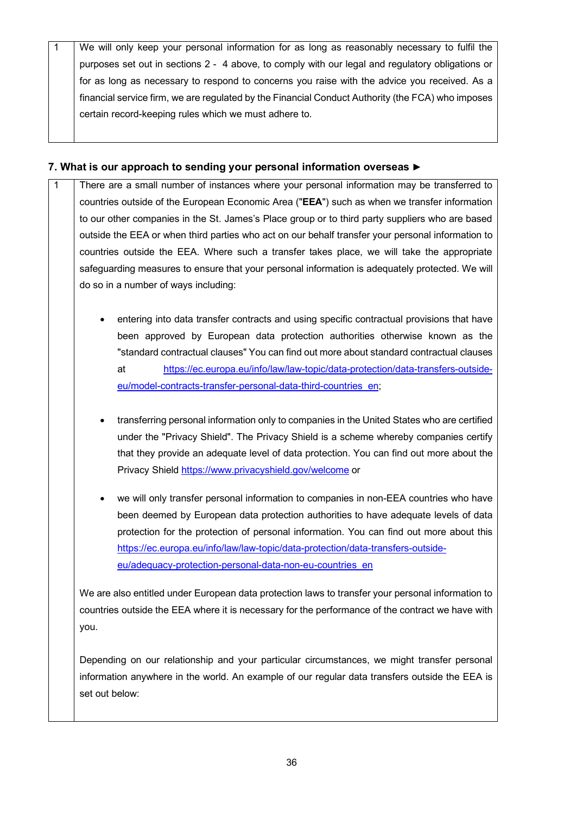1 We will only keep your personal information for as long as reasonably necessary to fulfil the purposes set out in sections 2 - 4 above, to comply with our legal and regulatory obligations or for as long as necessary to respond to concerns you raise with the advice you received. As a financial service firm, we are regulated by the Financial Conduct Authority (the FCA) who imposes certain record-keeping rules which we must adhere to.

#### **7. What is our approach to sending your personal information overseas ►**

- 1 There are a small number of instances where your personal information may be transferred to countries outside of the European Economic Area ("**EEA**") such as when we transfer information to our other companies in the St. James's Place group or to third party suppliers who are based outside the EEA or when third parties who act on our behalf transfer your personal information to countries outside the EEA. Where such a transfer takes place, we will take the appropriate safeguarding measures to ensure that your personal information is adequately protected. We will do so in a number of ways including:
	- entering into data transfer contracts and using specific contractual provisions that have been approved by European data protection authorities otherwise known as the "standard contractual clauses" You can find out more about standard contractual clauses at https://ec.europa.eu/info/law/law-topic/data-protection/data-transfers-outsideeu/model-contracts-transfer-personal-data-third-countries\_en;
	- transferring personal information only to companies in the United States who are certified under the "Privacy Shield". The Privacy Shield is a scheme whereby companies certify that they provide an adequate level of data protection. You can find out more about the Privacy Shield https://www.privacyshield.gov/welcome or
	- we will only transfer personal information to companies in non-EEA countries who have been deemed by European data protection authorities to have adequate levels of data protection for the protection of personal information. You can find out more about this https://ec.europa.eu/info/law/law-topic/data-protection/data-transfers-outsideeu/adequacy-protection-personal-data-non-eu-countries\_en

We are also entitled under European data protection laws to transfer your personal information to countries outside the EEA where it is necessary for the performance of the contract we have with you.

Depending on our relationship and your particular circumstances, we might transfer personal information anywhere in the world. An example of our regular data transfers outside the EEA is set out below: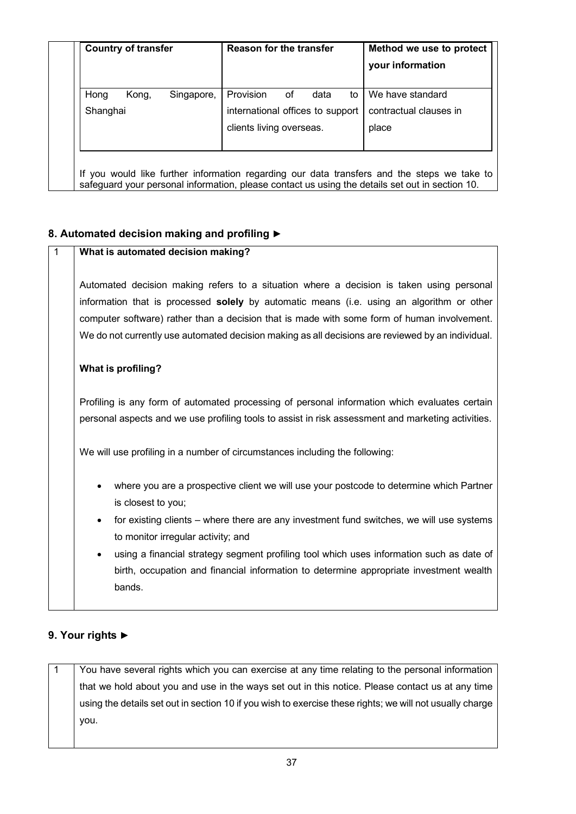| <b>Country of transfer</b> |       | <b>Reason for the transfer</b> |                                  |    | Method we use to protect |    |                        |
|----------------------------|-------|--------------------------------|----------------------------------|----|--------------------------|----|------------------------|
|                            |       |                                |                                  |    |                          |    | your information       |
| Hong                       | Kong, | Singapore,                     | Provision                        | οf | data                     | to | We have standard       |
| Shanghai                   |       |                                | international offices to support |    |                          |    | contractual clauses in |
|                            |       |                                | clients living overseas.         |    |                          |    | place                  |
|                            |       |                                |                                  |    |                          |    |                        |

## **8. Automated decision making and profiling ►**

### 1 **What is automated decision making?**

Automated decision making refers to a situation where a decision is taken using personal information that is processed **solely** by automatic means (i.e. using an algorithm or other computer software) rather than a decision that is made with some form of human involvement. We do not currently use automated decision making as all decisions are reviewed by an individual.

### **What is profiling?**

Profiling is any form of automated processing of personal information which evaluates certain personal aspects and we use profiling tools to assist in risk assessment and marketing activities.

We will use profiling in a number of circumstances including the following:

- where you are a prospective client we will use your postcode to determine which Partner is closest to you;
- for existing clients where there are any investment fund switches, we will use systems to monitor irregular activity; and
- using a financial strategy segment profiling tool which uses information such as date of birth, occupation and financial information to determine appropriate investment wealth bands.

## **9. Your rights ►**

1 You have several rights which you can exercise at any time relating to the personal information that we hold about you and use in the ways set out in this notice. Please contact us at any time using the details set out in section 10 if you wish to exercise these rights; we will not usually charge you.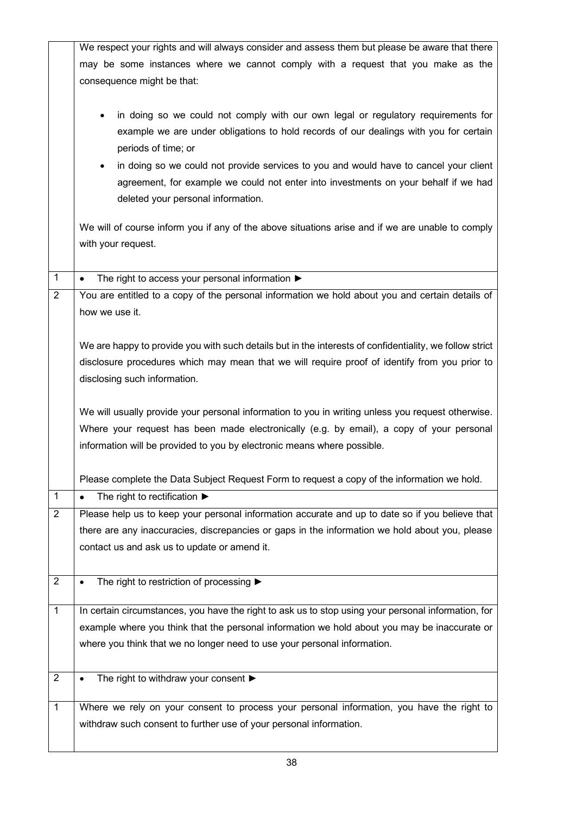|                | We respect your rights and will always consider and assess them but please be aware that there          |
|----------------|---------------------------------------------------------------------------------------------------------|
|                | may be some instances where we cannot comply with a request that you make as the                        |
|                | consequence might be that:                                                                              |
|                |                                                                                                         |
|                | in doing so we could not comply with our own legal or regulatory requirements for                       |
|                | example we are under obligations to hold records of our dealings with you for certain                   |
|                | periods of time; or                                                                                     |
|                | in doing so we could not provide services to you and would have to cancel your client                   |
|                |                                                                                                         |
|                | agreement, for example we could not enter into investments on your behalf if we had                     |
|                | deleted your personal information.                                                                      |
|                | We will of course inform you if any of the above situations arise and if we are unable to comply        |
|                | with your request.                                                                                      |
|                |                                                                                                         |
| $\mathbf{1}$   | The right to access your personal information $\blacktriangleright$<br>$\bullet$                        |
| $\overline{2}$ | You are entitled to a copy of the personal information we hold about you and certain details of         |
|                | how we use it.                                                                                          |
|                |                                                                                                         |
|                | We are happy to provide you with such details but in the interests of confidentiality, we follow strict |
|                | disclosure procedures which may mean that we will require proof of identify from you prior to           |
|                |                                                                                                         |
|                | disclosing such information.                                                                            |
|                | We will usually provide your personal information to you in writing unless you request otherwise.       |
|                |                                                                                                         |
|                |                                                                                                         |
|                | Where your request has been made electronically (e.g. by email), a copy of your personal                |
|                | information will be provided to you by electronic means where possible.                                 |
|                |                                                                                                         |
|                | Please complete the Data Subject Request Form to request a copy of the information we hold.             |
| $\mathbf{1}$   | The right to rectification $\blacktriangleright$                                                        |
| $\overline{2}$ | Please help us to keep your personal information accurate and up to date so if you believe that         |
|                | there are any inaccuracies, discrepancies or gaps in the information we hold about you, please          |
|                | contact us and ask us to update or amend it.                                                            |
|                |                                                                                                         |
| $\overline{2}$ | The right to restriction of processing ▶                                                                |
| $\overline{1}$ | In certain circumstances, you have the right to ask us to stop using your personal information, for     |
|                | example where you think that the personal information we hold about you may be inaccurate or            |
|                | where you think that we no longer need to use your personal information.                                |
|                |                                                                                                         |
| $\overline{2}$ |                                                                                                         |
|                | The right to withdraw your consent ▶                                                                    |
| $\mathbf{1}$   | Where we rely on your consent to process your personal information, you have the right to               |
|                | withdraw such consent to further use of your personal information.                                      |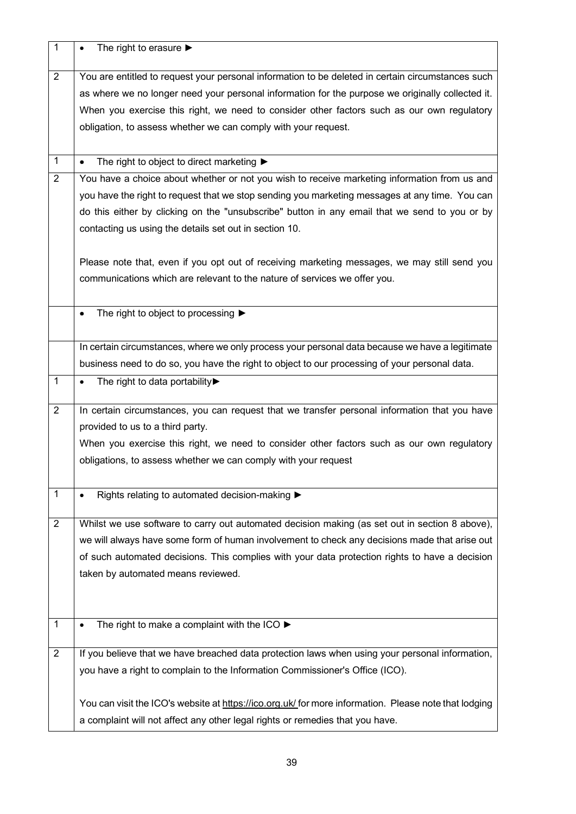| 1              | The right to erasure $\blacktriangleright$                                                            |
|----------------|-------------------------------------------------------------------------------------------------------|
| $\overline{2}$ | You are entitled to request your personal information to be deleted in certain circumstances such     |
|                | as where we no longer need your personal information for the purpose we originally collected it.      |
|                | When you exercise this right, we need to consider other factors such as our own regulatory            |
|                | obligation, to assess whether we can comply with your request.                                        |
|                |                                                                                                       |
| 1              | The right to object to direct marketing $\blacktriangleright$<br>$\bullet$                            |
| $\overline{2}$ | You have a choice about whether or not you wish to receive marketing information from us and          |
|                | you have the right to request that we stop sending you marketing messages at any time. You can        |
|                | do this either by clicking on the "unsubscribe" button in any email that we send to you or by         |
|                | contacting us using the details set out in section 10.                                                |
|                |                                                                                                       |
|                | Please note that, even if you opt out of receiving marketing messages, we may still send you          |
|                | communications which are relevant to the nature of services we offer you.                             |
|                |                                                                                                       |
|                | The right to object to processing ▶<br>$\bullet$                                                      |
|                |                                                                                                       |
|                | In certain circumstances, where we only process your personal data because we have a legitimate       |
|                | business need to do so, you have the right to object to our processing of your personal data.         |
| $\mathbf{1}$   | The right to data portability▶<br>$\bullet$                                                           |
|                |                                                                                                       |
| 2              | In certain circumstances, you can request that we transfer personal information that you have         |
|                | provided to us to a third party.                                                                      |
|                | When you exercise this right, we need to consider other factors such as our own regulatory            |
|                | obligations, to assess whether we can comply with your request                                        |
|                |                                                                                                       |
| 1              | Rights relating to automated decision-making ▶                                                        |
|                |                                                                                                       |
| $\overline{2}$ | Whilst we use software to carry out automated decision making (as set out in section 8 above),        |
|                | we will always have some form of human involvement to check any decisions made that arise out         |
|                | of such automated decisions. This complies with your data protection rights to have a decision        |
|                | taken by automated means reviewed.                                                                    |
|                |                                                                                                       |
|                |                                                                                                       |
| $\mathbf{1}$   | The right to make a complaint with the ICO $\blacktriangleright$                                      |
| $\overline{2}$ | If you believe that we have breached data protection laws when using your personal information,       |
|                | you have a right to complain to the Information Commissioner's Office (ICO).                          |
|                |                                                                                                       |
|                | You can visit the ICO's website at https://ico.org.uk/ for more information. Please note that lodging |
|                | a complaint will not affect any other legal rights or remedies that you have.                         |
|                |                                                                                                       |